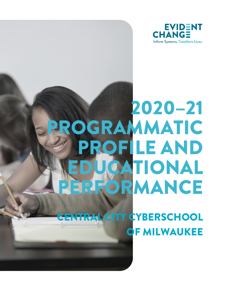

# 2020–21 PROGRAMMATIC PROFILE AND EDUCATIONAL PERFORMANCE

ENTRAL CITY CYBERSCHOOL OF MILWAUKEE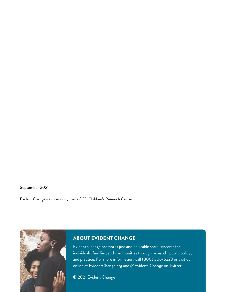September 2021

.

Evident Change was previously the NCCD Children's Research Center.



# ABOUT EVIDENT CHANGE

Evident Change promotes just and equitable social systems for individuals, families, and communities through research, public policy, and practice. For more information, call (800) 306-6223 or visit us online at EvidentChange.org and @Evident\_Change on Twitter.

© 2021 Evident Change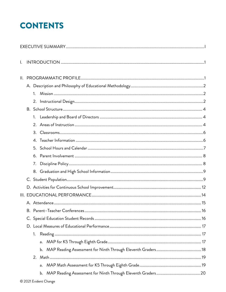# **CONTENTS**

| Ι.  |    |    |  |
|-----|----|----|--|
| II. |    |    |  |
|     |    |    |  |
|     | 1. |    |  |
|     | 2. |    |  |
|     |    |    |  |
|     | 1. |    |  |
|     | 2. |    |  |
|     | 3. |    |  |
|     |    |    |  |
|     | 5. |    |  |
|     | 6. |    |  |
|     | 7. |    |  |
|     |    |    |  |
|     |    |    |  |
|     |    |    |  |
|     |    |    |  |
|     |    |    |  |
|     |    |    |  |
|     |    |    |  |
|     |    |    |  |
|     | 1. |    |  |
|     |    | a. |  |
|     |    |    |  |
|     |    |    |  |
|     |    |    |  |
|     |    | b. |  |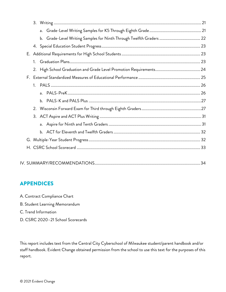|--|

# APPENDICES

- A. Contract Compliance Chart
- B. Student Learning Memorandum
- C. Trend Information
- D. CSRC 2020–21 School Scorecards

This report includes text from the Central City Cyberschool of Milwaukee student/parent handbook and/or staff handbook. Evident Change obtained permission from the school to use this text for the purposes of this report.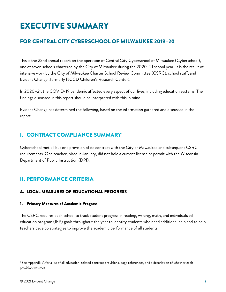# <span id="page-4-0"></span>EXECUTIVE SUMMARY

# FOR CENTRAL CITY CYBERSCHOOL OF MILWAUKEE 2019–20

This is the 22nd annual report on the operation of Central City Cyberschool of Milwaukee (Cyberschool), one of seven schools chartered by the City of Milwaukee during the 2020–21 school year. It is the result of intensive work by the City of Milwaukee Charter School Review Committee (CSRC), school staff, and Evident Change (formerly NCCD Children's Research Center).

In 2020–21, the COVID-19 pandemic affected every aspect of our lives, including education systems. The findings discussed in this report should be interpreted with this in mind.

Evident Change has determined the following, based on the information gathered and discussed in the report.

# I. CONTRACT COMPLIANCE SUMMARY[1](#page-4-1)

Cyberschool met all but one provision of its contract with the City of Milwaukee and subsequent CSRC requirements. One teacher, hired in January, did not hold a current license or permit with the Wisconsin Department of Public Instruction (DPI).

# II. PERFORMANCE CRITERIA

# A. LOCAL MEASURES OF EDUCATIONAL PROGRESS

# 1. Primary Measures of Academic Progress

The CSRC requires each school to track student progress in reading, writing, math, and individualized education program (IEP) goals throughout the year to identify students who need additional help and to help teachers develop strategies to improve the academic performance of all students.

<span id="page-4-1"></span> $^1$  See Appendix A for a list of all education-related contract provisions, page references, and a description of whether each provision was met.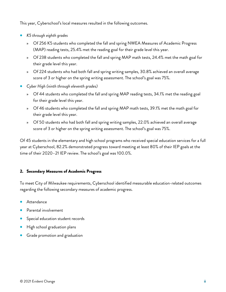This year, Cyberschool's local measures resulted in the following outcomes.

- *K5 through eighth grades*
	- » Of 256 K5 students who completed the fall and spring NWEA Measures of Academic Progress (MAP) reading tests, 25.4% met the reading goal for their grade level this year.
	- » Of 238 students who completed the fall and spring MAP math tests, 24.4% met the math goal for their grade level this year.
	- » Of 224 students who had both fall and spring writing samples, 30.8% achieved an overall average score of 3 or higher on the spring writing assessment. The school's goal was 75%.
- *Cyber High (ninth through eleventh grades)*
	- » Of 44 students who completed the fall and spring MAP reading tests, 34.1% met the reading goal for their grade level this year.
	- » Of 46 students who completed the fall and spring MAP math tests, 39.1% met the math goal for their grade level this year.
	- » Of 50 students who had both fall and spring writing samples, 22.0% achieved an overall average score of 3 or higher on the spring writing assessment. The school's goal was 75%.

Of 45 students in the elementary and high school programs who received special education services for a full year at Cyberschool, 82.2% demonstrated progress toward meeting at least 80% of their IEP goals at the time of their 2020–21 IEP review. The school's goal was 100.0%.

# 2. Secondary Measures of Academic Progress

To meet City of Milwaukee requirements, Cyberschool identified measurable education-related outcomes regarding the following secondary measures of academic progress.

- Attendance
- Parental involvement
- Special education student records
- High school graduation plans
- Grade promotion and graduation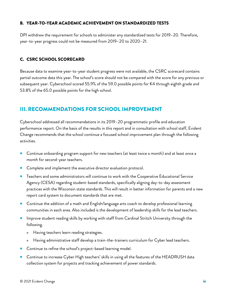# B. YEAR-TO-YEAR ACADEMIC ACHIEVEMENT ON STANDARDIZED TESTS

DPI withdrew the requirement for schools to administer any standardized tests for 2019–20. Therefore, year-to-year progress could not be measured from 2019–20 to 2020–21.

# C. CSRC SCHOOL SCORECARD

Because data to examine year-to-year student progress were not available, the CSRC scorecard contains partial outcome data this year. The school's score should not be compared with the score for any previous or subsequent year. Cyberschool scored 55.9% of the 59.0 possible points for K4 through eighth grade and 53.8% of the 65.0 possible points for the high school.

# III. RECOMMENDATIONS FOR SCHOOL IMPROVEMENT

Cyberschool addressed all recommendations in its 2019–20 programmatic profile and education performance report. On the basis of the results in this report and in consultation with school staff, Evident Change recommends that the school continue a focused school improvement plan through the following activities.

- Continue onboarding program support for new teachers (at least twice a month) and at least once a month for second-year teachers.
- Complete and implement the executive director evaluation protocol.
- Teachers and some administrators will continue to work with the Cooperative Educational Service Agency (CESA) regarding student-based standards, specifically aligning day-to-day assessment practices with the Wisconsin state standards. This will result in better information for parents and a new report card system to document standards that are met.
- Continue the addition of a math and English/language arts coach to develop professional learning communities in each area. Also included is the development of leadership skills for the lead teachers.
- Improve student reading skills by working with staff from Cardinal Stritch University through the following.
	- » Having teachers learn reading strategies.
	- » Having administrative staff develop a train-the-trainers curriculum for Cyber lead teachers.
- Continue to refine the school's project-based learning model.
- Continue to increase Cyber High teachers' skills in using all the features of the HEADRUSH data collection system for projects and tracking achievement of power standards.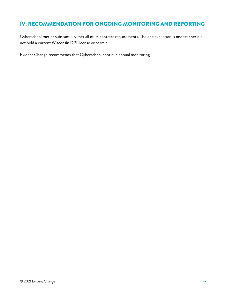# IV. RECOMMENDATION FOR ONGOING MONITORING AND REPORTING

Cyberschool met or substantially met all of its contract requirements. The one exception is one teacher did not hold a current Wisconsin DPI license or permit.

Evident Change recommends that Cyberschool continue annual monitoring.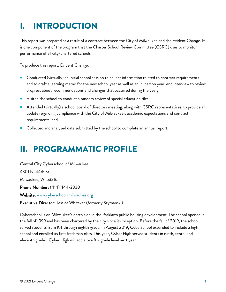# <span id="page-8-0"></span>I. INTRODUCTION

This report was prepared as a result of a contract between the City of Milwaukee and the Evident Change. It is one component of the program that the Charter School Review Committee (CSRC) uses to monitor performance of all city-chartered schools.

To produce this report, Evident Change:

- Conducted (virtually) an initial school session to collect information related to contract requirements and to draft a learning memo for the new school year as well as an in-person year-end interview to review progress about recommendations and changes that occurred during the year;
- Visited the school to conduct a random review of special education files;
- Attended (virtually) a school board of directors meeting, along with CSRC representatives, to provide an update regarding compliance with the City of Milwaukee's academic expectations and contract requirements; and
- Collected and analyzed data submitted by the school to complete an annual report.

# <span id="page-8-1"></span>II. PROGRAMMATIC PROFILE

Central City Cyberschool of Milwaukee 4301 N. 44th St. Milwaukee, WI 53216 Phone Number: (414) 444-2330 Website: [www.cyberschool-milwaukee.org](http://www.cyberschool-milwaukee.org/) Executive Director: Jessica Whitaker (formerly Szymanski)

Cyberschool is on Milwaukee's north side in the Parklawn public housing development. The school opened in the fall of 1999 and has been chartered by the city since its inception. Before the fall of 2019, the school

served students from K4 through eighth grade. In August 2019, Cyberschool expanded to include a high school and enrolled its first freshman class. This year, Cyber High served students in ninth, tenth, and eleventh grades. Cyber High will add a twelfth-grade level next year.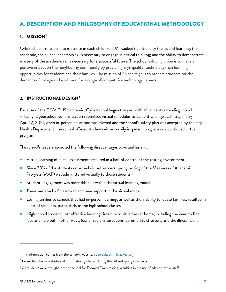# <span id="page-9-0"></span>A. DESCRIPTION AND PHILOSOPHY OF EDUCATIONAL METHODOLOGY

# <span id="page-9-1"></span>1. MISSION[2](#page-9-3)

Cyberschool's mission is to motivate in each child from Milwaukee's central city the love of learning; the academic, social, and leadership skills necessary to engage in critical thinking; and the ability to demonstrate mastery of the academic skills necessary for a successful future. The school's driving vision is to make a positive impact on the neighboring community by providing high-quality, technology-rich learning opportunities for students and their families. The mission of Cyber High is to prepare students for the demands of college and work, and for a range of competitive technology careers.

# <span id="page-9-2"></span>2. INSTRUCTIONAL DESIGN[3](#page-9-4)

Because of the COVID-19 pandemic, Cyberschool began the year with all students attending school virtually. Cyberschool administration submitted virtual schedules to Evident Change staff. Beginning April 12, 2021, when in-person education was allowed and the school's safety plan was accepted by the city Health Department, the school offered students either a daily in-person program or a continued virtual program.

The school's leadership noted the following disadvantages to virtual learning.

- Virtual learning of all fall assessments resulted in a lack of control of the testing environment.
- Since 30% of the students remained virtual learners, spring testing of the Measures of Academic Progress (MAP) was administered virtually to those students. [4](#page-9-5)
- Student engagement was more difficult within the virtual learning model.
- There was a lack of classroom and peer support in the virtual model.
- Losing families to schools that had in-person learning, as well as the inability to locate families, resulted in a loss of students, particularly in the high school classes.
- High school students lost effective learning time due to situations at home, including the need to find jobs and help out in other ways, loss of social interactions, community stressors, and the illness itself.

<span id="page-9-3"></span><sup>&</sup>lt;sup>2</sup> This information comes from the school's website[, cyberschool-milwaukee.org](https://cyberschool-milwaukee.org/)

<span id="page-9-4"></span><sup>&</sup>lt;sup>3</sup> From the school's website and information gathered during the fall and spring interviews.

<span id="page-9-5"></span><sup>4</sup> All students were brought into the school for Forward Exam testing, resulting in the use of administrative staff.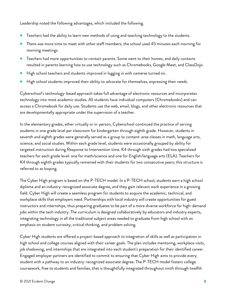Leadership noted the following advantages, which included the following.

- Teachers had the ability to learn new methods of using and teaching technology to the students.
- There was more time to meet with other staff members; the school used 45 minutes each morning for morning meetings.
- Teachers had more opportunities to contact parents. Some went to their homes, and daily contacts resulted in parents learning how to use technology such as Chromebooks, Google Meet, and ClassDojo.
- High school teachers and students improved in logging in with cameras turned on.
- High school students improved their ability to advocate for themselves, expressing their needs.

Cyberschool's technology-based approach takes full advantage of electronic resources and incorporates technology into most academic studies. All students have individual computers (Chromebooks) and can access a Chromebook for daily use. Students use the web, email, blogs, and other electronic resources that are developmentally appropriate under the supervision of a teacher.

In the elementary grades, ether virtually or in-person, Cyberschool continued the practice of serving students in one grade level per classroom for kindergarten through eighth grade. However, students in seventh and eighth grades were generally served as a group to content-area classes in math, language arts, science, and social studies. Within each grade level, students were occasionally grouped by ability for targeted instruction during Response to Intervention time. K4 through sixth grades had two specialized teachers for each grade level: one for math/science and one for English/language arts (ELA). Teachers for K4 through eighth grades typically remained with their students for two consecutive years; this structure is referred to as looping.

The Cyber High program is based on the P-TECH model. In a P-TECH school, students earn a high school diploma and an industry-recognized associate degree, and they gain relevant work experience in a growing field. Cyber High will create a seamless program for students to acquire the academic, technical, and workplace skills that employers need. Partnerships with local industry will create opportunities for guest instructors and internships, thus preparing graduates to be part of a more diverse workforce for high-demand jobs within the tech industry. The curriculum is designed collaboratively by educators and industry experts, integrating technology in all the traditional subject areas needed to graduate from high school with an emphasis on student curiosity, critical thinking, and problem solving.

Cyber High students are offered a project-based approach to integration of skills as well as participation in high school and college courses aligned with their career goals. The plan includes mentoring, workplace visits, job shadowing, and internships that are integrated into each student's preparation for their identified career. Engaged employer partners are identified to commit to ensuring that Cyber High aims to provide every student with a pathway to an industry-recognized associate degree. The P-TECH model fosters college coursework, free to students and families, that is thoughtfully integrated throughout ninth through twelfth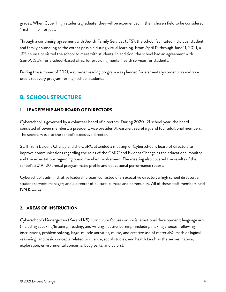grades. When Cyber High students graduate, they will be experienced in their chosen field to be considered "first in line" for jobs.

Through a continuing agreement with Jewish Family Services (JFS), the school facilitated individual student and family counseling to the extent possible during virtual learning. From April 12 through June 11, 2021, a JFS counselor visited the school to meet with students. In addition, the school had an agreement with SaintA (StA) for a school-based clinic for providing mental health services for students.

During the summer of 2021, a summer reading program was planned for elementary students as well as a credit recovery program for high school students.

# <span id="page-11-0"></span>B. SCHOOL STRUCTURE

# <span id="page-11-1"></span>1. LEADERSHIP AND BOARD OF DIRECTORS

Cyberschool is governed by a volunteer board of directors. During 2020–21 school year, the board consisted of seven members: a president, vice president/treasurer, secretary, and four additional members. The secretary is also the school's executive director.

Staff from Evident Change and the CSRC attended a meeting of Cyberschool's board of directors to improve communications regarding the roles of the CSRC and Evident Change as the educational monitor and the expectations regarding board member involvement. The meeting also covered the results of the school's 2019–20 annual programmatic profile and educational performance report.

Cyberschool's administrative leadership team consisted of an executive director; a high school director; a student services manager; and a director of culture, climate and community. All of these staff members held DPI licenses.

# <span id="page-11-2"></span>2. AREAS OF INSTRUCTION

Cyberschool's kindergarten (K4 and K5) curriculum focuses on social emotional development; language arts (including speaking/listening, reading, and writing); active learning (including making choices, following instructions, problem solving, large-muscle activities, music, and creative use of materials); math or logical reasoning; and basic concepts related to science, social studies, and health (such as the senses, nature, exploration, environmental concerns, body parts, and colors).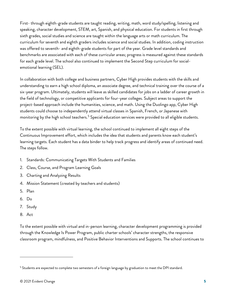First- through eighth-grade students are taught reading, writing, math, word study/spelling, listening and speaking, character development, STEM, art, Spanish, and physical education. For students in first through sixth grades, social studies and science are taught within the language arts or math curriculum. The curriculum for seventh and eighth graders includes science and social studies. In addition, coding instruction was offered to seventh- and eighth-grade students for part of the year. Grade level standards and benchmarks are associated with each of these curricular areas; progress is measured against these standards for each grade level. The school also continued to implement the Second Step curriculum for socialemotional learning (SEL).

In collaboration with both college and business partners, Cyber High provides students with the skills and understanding to earn a high school diploma, an associate degree, and technical training over the course of a six-year program. Ultimately, students will leave as skilled candidates for jobs on a ladder of career growth in the field of technology, or competitive applicants for four-year colleges. Subject areas to support the project-based approach include the humanities, science, and math. Using the Duolingo app, Cyber High students could choose to independently attend virtual classes in Spanish, French, or Japanese with monitoring by the high school teachers.<sup>[5](#page-12-0)</sup> Special education services were provided to all eligible students.

To the extent possible with virtual learning, the school continued to implement all eight steps of the Continuous Improvement effort, which includes the idea that students and parents know each student's learning targets. Each student has a data binder to help track progress and identify areas of continued need. The steps follow.

- 1. Standards: Communicating Targets With Students and Families
- 2. Class, Course, and Program Learning Goals
- 3. Charting and Analyzing Results
- 4. Mission Statement (created by teachers and students)
- 5. Plan
- 6. Do
- 7. Study
- 8. Act

To the extent possible with virtual and in-person learning, character development programming is provided through the Knowledge Is Power Program, public charter schools' character strengths, the responsive classroom program, mindfulness, and Positive Behavior Interventions and Supports. The school continues to

<span id="page-12-0"></span><sup>&</sup>lt;sup>5</sup> Students are expected to complete two semesters of a foreign language by graduation to meet the DPI standard.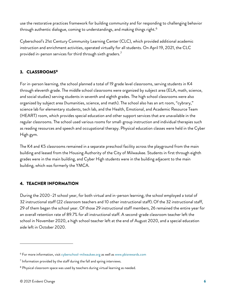use the restorative practices framework for building community and for responding to challenging behavior through authentic dialogue, coming to understandings, and making things right.<sup>[6](#page-13-2)</sup>

Cyberschool's 21st Century Community Learning Center (CLC), which provided additional academic instruction and enrichment activities, operated virtually for all students. On April 19, 2021, the CLC provided in-person services for third through sixth graders.<sup>[7](#page-13-3)</sup>

# <span id="page-13-0"></span>3. CLASSROOMS[8](#page-13-4)

For in-person learning, the school planned a total of 19 grade level classrooms, serving students in K4 through eleventh grade. The middle school classrooms were organized by subject area (ELA, math, science, and social studies) serving students in seventh and eighth grades. The high school classrooms were also organized by subject area (humanities, science, and math). The school also has an art room, "cybrary," science lab for elementary students, tech lab, and the Health, Emotional, and Academic Resource Team (HEART) room, which provides special education and other support services that are unavailable in the regular classrooms. The school used various rooms for small-group instruction and individual therapies such as reading resources and speech and occupational therapy. Physical education classes were held in the Cyber High gym.

The K4 and K5 classrooms remained in a separate preschool facility across the playground from the main building and leased from the Housing Authority of the City of Milwaukee. Students in first through eighth grades were in the main building, and Cyber High students were in the building adjacent to the main building, which was formerly the YMCA.

# <span id="page-13-1"></span>4. TEACHER INFORMATION

During the 2020–21 school year, for both virtual and in-person learning, the school employed a total of 32 instructional staff (22 classroom teachers and 10 other instructional staff). Of the 32 instructional staff, 29 of them began the school year. Of those 29 instructional staff members, 26 remained the entire year for an overall retention rate of 89.7% for all instructional staff. A second-grade classroom teacher left the school in November 2020, a high school teacher left at the end of August 2020, and a special education aide left in October 2020.

<span id="page-13-2"></span><sup>&</sup>lt;sup>6</sup> For more information, visit [cyberschool-milwaukee.org](http://cyberschool-milwaukee.org/) as well a[s www.pbisrewards.com](http://www.pbisrewards.com/)

<span id="page-13-3"></span> $7$  Information provided by the staff during the fall and spring interviews.

<span id="page-13-4"></span><sup>&</sup>lt;sup>8</sup> Physical classroom space was used by teachers during virtual learning as needed.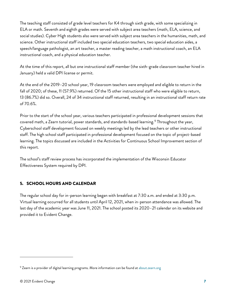The teaching staff consisted of grade level teachers for K4 through sixth grade, with some specializing in ELA or math. Seventh and eighth grades were served with subject area teachers (math, ELA, science, and social studies). Cyber High students also were served with subject area teachers in the humanities, math, and science. Other instructional staff included two special education teachers, two special education aides, a speech/language pathologist, an art teacher, a master reading teacher, a math instructional coach, an ELA instructional coach, and a physical education teacher.

At the time of this report, all but one instructional staff member (the sixth-grade classroom teacher hired in January) held a valid DPI license or permit.

At the end of the 2019–20 school year, 19 classroom teachers were employed and eligible to return in the fall of 2020; of these, 11 (57.9%) returned. Of the 15 other instructional staff who were eligible to return, 13 (86.7%) did so. Overall, 24 of 34 instructional staff returned, resulting in an instructional staff return rate of 70.6%.

Prior to the start of the school year, various teachers participated in professional development sessions that covered math, a Zearn tutorial, power standards, and standards-based learning.<sup>[9](#page-14-1)</sup> Throughout the year, Cyberschool staff development focused on weekly meetings led by the lead teachers or other instructional staff. The high school staff participated in professional development focused on the topic of project-based learning. The topics discussed are included in the Activities for Continuous School Improvement section of this report.

The school's staff review process has incorporated the implementation of the Wisconsin Educator Effectiveness System required by DPI.

# <span id="page-14-0"></span>5. SCHOOL HOURS AND CALENDAR

The regular school day for in-person learning began with breakfast at 7:30 a.m. and ended at 3:30 p.m. Virtual learning occurred for all students until April 12, 2021, when in-person attendance was allowed. The last day of the academic year was June 11, 2021. The school posted its 2020–21 calendar on its website and provided it to Evident Change.

<span id="page-14-1"></span><sup>&</sup>lt;sup>9</sup> Zearn is a provider of digital learning programs. More information can be found at [about.zearn.org](https://about.zearn.org/)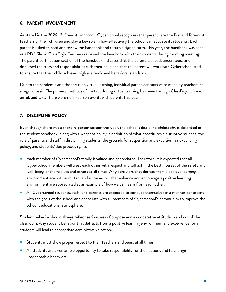# <span id="page-15-0"></span>6. PARENT INVOLVEMENT

As stated in the *2020*–*21 Student Handbook*, Cyberschool recognizes that parents are the first and foremost teachers of their children and play a key role in how effectively the school can educate its students. Each parent is asked to read and review the handbook and return a signed form. This year, the handbook was sent as a PDF file on ClassDojo. Teachers reviewed the handbook with their students during morning meetings. The parent certification section of the handbook indicates that the parent has read, understood, and discussed the rules and responsibilities with their child and that the parent will work with Cyberschool staff to ensure that their child achieves high academic and behavioral standards.

Due to the pandemic and the focus on virtual learning, individual parent contacts were made by teachers on a regular basis. The primary methods of contact during virtual learning has been through ClassDojo, phone, email, and text. There were no in-person events with parents this year.

# <span id="page-15-1"></span>7. DISCIPLINE POLICY

Even though there was a short in-person session this year, the school's discipline philosophy is described in the student handbook, along with a weapons policy, a definition of what constitutes a disruptive student, the role of parents and staff in disciplining students, the grounds for suspension and expulsion, a no-bullying policy, and students' due process rights.

- Each member of Cyberschool's family is valued and appreciated. Therefore, it is expected that all Cyberschool members will treat each other with respect and will act in the best interest of the safety and well-being of themselves and others at all times. Any behaviors that detract from a positive learning environment are not permitted, and all behaviors that enhance and encourage a positive learning environment are appreciated as an example of how we can learn from each other.
- All Cyberschool students, staff, and parents are expected to conduct themselves in a manner consistent with the goals of the school and cooperate with all members of Cyberschool's community to improve the school's educational atmosphere.

Student behavior should always reflect seriousness of purpose and a cooperative attitude in and out of the classroom. Any student behavior that detracts from a positive learning environment and experience for all students will lead to appropriate administrative action.

- Students must show proper respect to their teachers and peers at all times.
- All students are given ample opportunity to take responsibility for their actions and to change unacceptable behaviors.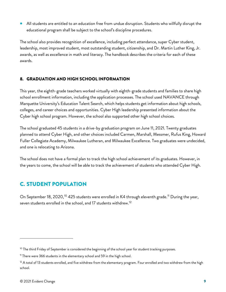• All students are entitled to an education free from undue disruption. Students who willfully disrupt the educational program shall be subject to the school's discipline procedures.

The school also provides recognition of excellence, including perfect attendance, super Cyber student, leadership, most improved student, most outstanding student, citizenship, and Dr. Martin Luther King, Jr. awards, as well as excellence in math and literacy. The handbook describes the criteria for each of these awards.

# <span id="page-16-0"></span>8. GRADUATION AND HIGH SCHOOL INFORMATION

This year, the eighth-grade teachers worked virtually with eighth-grade students and families to share high school enrollment information, including the application processes. The school used NAVANCE through Marquette University's Education Talent Search, which helps students get information about high schools, colleges, and career choices and opportunities. Cyber High leadership presented information about the Cyber high school program. However, the school also supported other high school choices.

The school graduated 45 students in a drive-by graduation program on June 11, 2021. Twenty graduates planned to attend Cyber High, and other choices included Carmen, Marshall, Messmer, Rufus King, Howard Fuller Collegiate Academy, Milwaukee Lutheran, and Milwaukee Excellence. Two graduates were undecided, and one is relocating to Arizona.

The school does not have a formal plan to track the high school achievement of its graduates. However, in the years to come, the school will be able to track the achievement of students who attended Cyber High.

# <span id="page-16-1"></span>C. STUDENT POPULATION

On September 18, 2020,<sup>[10](#page-16-2)</sup> 425 students were enrolled in K4 through eleventh grade.<sup>[11](#page-16-3)</sup> During the year, seven students enrolled in the school, and 17 students withdrew.[12](#page-16-4)

<span id="page-16-2"></span> $10$  The third Friday of September is considered the beginning of the school year for student tracking purposes.

<span id="page-16-3"></span><sup>&</sup>lt;sup>11</sup> There were 366 students in the elementary school and 59 in the high school.

<span id="page-16-4"></span> $12$  A total of 13 students enrolled, and five withdrew from the elementary program. Four enrolled and two withdrew from the high school.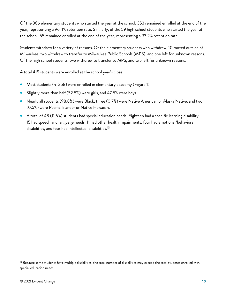Of the 366 elementary students who started the year at the school, 353 remained enrolled at the end of the year, representing a 96.4% retention rate. Similarly, of the 59 high school students who started the year at the school, 55 remained enrolled at the end of the year, representing a 93.2% retention rate.

Students withdrew for a variety of reasons. Of the elementary students who withdrew, 10 moved outside of Milwaukee, two withdrew to transfer to Milwaukee Public Schools (MPS), and one left for unknown reasons. Of the high school students, two withdrew to transfer to MPS, and two left for unknown reasons.

A total 415 students were enrolled at the school year's close.

- Most students (n=358) were enrolled in elementary academy (Figure 1).
- Slightly more than half (52.5%) were girls, and 47.5% were boys.
- Nearly all students (98.8%) were Black, three (0.7%) were Native American or Alaska Native, and two (0.5%) were Pacific Islander or Native Hawaiian.
- A total of 48 (11.6%) students had special education needs. Eighteen had a specific learning disability, 15 had speech and language needs, 11 had other health impairments, four had emotional/behavioral disabilities, and four had intellectual disabilities.<sup>[13](#page-17-0)</sup>

<span id="page-17-0"></span> $^{\rm 13}$  Because some students have multiple disabilities, the total number of disabilities may exceed the total students enrolled with special education needs.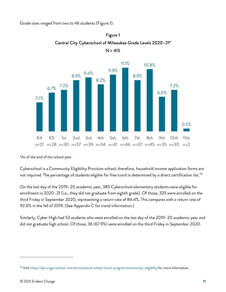Grade sizes ranged from two to 46 students (Figure 1).





\*As of the end of the school year.

Cyberschool is a Community Eligibility Provision school; therefore, household income application forms are not required. The percentage of students eligible for free lunch is determined by a direct certification list.<sup>[14](#page-18-0)</sup>

On the last day of the 2019–20 academic year, 385 Cyberschool elementary students were eligible for enrollment in 2020–21 (i.e., they did not graduate from eighth grade). Of those, 325 were enrolled on the third Friday in September 2020, representing a return rate of 84.4%. This compares with a return rate of 92.0% in the fall of 2019. (See Appendix C for trend information.)

Similarly, Cyber High had 53 students who were enrolled on the last day of the 2019–20 academic year and did not graduate high school. Of those, 36 (67.9%) were enrolled on the third Friday in September 2020.

<span id="page-18-0"></span><sup>14</sup> Visit<https://dpi.wi.gov/school-nutrition/national-school-lunch-program/community-eligibility> for more information.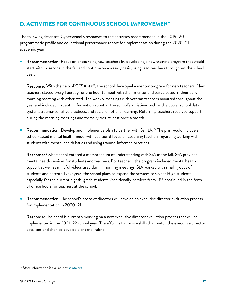# <span id="page-19-0"></span>D. ACTIVITIES FOR CONTINUOUS SCHOOL IMPROVEMENT

The following describes Cyberschool's responses to the activities recommended in the 2019–20 programmatic profile and educational performance report for implementation during the 2020–21 academic year.

Recommendation: Focus on onboarding new teachers by developing a new training program that would start with in-service in the fall and continue on a weekly basis, using lead teachers throughout the school year.

Response: With the help of CESA staff, the school developed a mentor program for new teachers. New teachers stayed every Tuesday for one hour to meet with their mentor and participated in their daily morning meeting with other staff. The weekly meetings with veteran teachers occurred throughout the year and included in-depth information about all the school's initiatives such as the power school data system, trauma-sensitive practices, and social emotional learning. Returning teachers received support during the morning meetings and formally met at least once a month.

Recommendation: Develop and implement a plan to partner with SaintA.<sup>[15](#page-19-1)</sup> The plan would include a school-based mental health model with additional focus on coaching teachers regarding working with students with mental health issues and using trauma-informed practices.

Response: Cyberschool entered a memorandum of understanding with StA in the fall. StA provided mental health services for students and teachers. For teachers, the program included mental health support as well as mindful videos used during morning meetings. StA worked with small groups of students and parents. Next year, the school plans to expand the services to Cyber High students, especially for the current eighth-grade students. Additionally, services from JFS continued in the form of office hours for teachers at the school.

Recommendation: The school's board of directors will develop an executive director evaluation process for implementation in 2020–21.

Response: The board is currently working on a new executive director evaluation process that will be implemented in the 2021–22 school year. The effort is to choose skills that match the executive director activities and then to develop a criterial rubric.

<span id="page-19-1"></span><sup>&</sup>lt;sup>15</sup> More information is available a[t sainta.org](https://sainta.org/)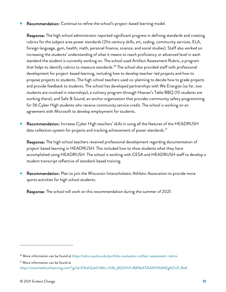• Recommendation: Continue to refine the school's project-based learning model.

Response: The high school administrator reported significant progress in defining standards and creating rubrics for the subject area power standards (21st century skills, art, coding, community services, ELA, foreign language, gym, health, math, personal finance, science, and social studies). Staff also worked on increasing the students' understanding of what it means to reach proficiency or advanced level in each standard the student is currently working on. The school used Artifact Assessment Rubric, a program that helps to identify rubrics to measure standards.<sup>[16](#page-20-0)</sup> The school also provided staff with professional development for project-based learning, including how to develop teacher-led projects and how to propose projects to students. The high school teachers used co-planning to decide how to grade projects and provide feedback to students. The school has developed partnerships with We Energies (so far, two students are involved in internships), a culinary program through Heaven's Table BBQ (10 students are working there), and Safe & Sound, an anchor organization that provides community safety programming for 56 Cyber High students who receive community service credit. The school is working on an agreement with Microsoft to develop employment for students.

• Recommendation: Increase Cyber High teachers' skills in using all the features of the HEADRUSH data collection system for projects and tracking achievement of power standards.<sup>[17](#page-20-1)</sup>

Response: The high school teachers received professional development regarding documentation of project-based learning in HEADRUSH. This included how to show students what they have accomplished using HEADRUSH. The school is working with CESA and HEADRUSH staff to develop a student transcript reflective of standard-based training.

Recommendation: Plan to join the Wisconsin Interscholastic Athletic Association to provide more sports activities for high school students.

Response: The school will work on this recommendation during the summer of 2021.

<span id="page-20-0"></span><sup>16</sup> More information can be found a[t https://cehs.csuohio.edu/portfolio-evaluation-artifact-assessment-rubrics](https://cehs.csuohio.edu/portfolio-evaluation-artifact-assessment-rubrics)

<span id="page-20-1"></span><sup>&</sup>lt;sup>17</sup> More information can be found at

[https://www.headrushlearning.com/?gclid=EAIaIQobChMIz\\_zV46\\_j8QIVfnFvBB18sATiEAAYASAAEgIkOvD\\_BwE](https://www.headrushlearning.com/?gclid=EAIaIQobChMIz_zV46_j8QIVfnFvBB18sATiEAAYASAAEgIkOvD_BwE)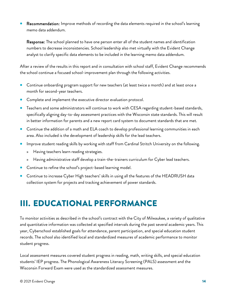Recommendation: Improve methods of recording the data elements required in the school's learning memo data addendum.

Response: The school planned to have one person enter all of the student names and identification numbers to decrease inconsistencies. School leadership also met virtually with the Evident Change analyst to clarify specific data elements to be included in the learning memo data addendum.

After a review of the results in this report and in consultation with school staff, Evident Change recommends the school continue a focused school-improvement plan through the following activities.

- Continue onboarding program support for new teachers (at least twice a month) and at least once a month for second-year teachers.
- Complete and implement the executive director evaluation protocol.
- Teachers and some administrators will continue to work with CESA regarding student-based standards, specifically aligning day-to-day assessment practices with the Wisconsin state standards. This will result in better information for parents and a new report card system to document standards that are met.
- Continue the addition of a math and ELA coach to develop professional learning communities in each area. Also included is the development of leadership skills for the lead teachers.
- Improve student reading skills by working with staff from Cardinal Stritch University on the following.
	- » Having teachers learn reading strategies.
	- » Having administrative staff develop a train-the-trainers curriculum for Cyber lead teachers.
- Continue to refine the school's project-based learning model.
- Continue to increase Cyber High teachers' skills in using all the features of the HEADRUSH data collection system for projects and tracking achievement of power standards.

# <span id="page-21-0"></span>III. EDUCATIONAL PERFORMANCE

To monitor activities as described in the school's contract with the City of Milwaukee, a variety of qualitative and quantitative information was collected at specified intervals during the past several academic years. This year, Cyberschool established goals for attendance, parent participation, and special education student records. The school also identified local and standardized measures of academic performance to monitor student progress.

Local assessment measures covered student progress in reading, math, writing skills, and special education students' IEP progress. The Phonological Awareness Literacy Screening (PALS) assessment and the Wisconsin Forward Exam were used as the standardized assessment measures.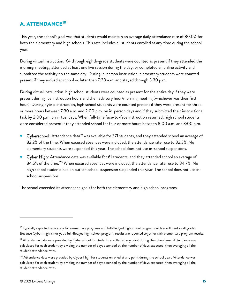# <span id="page-22-0"></span>A. ATTENDANCE<sup>[18](#page-22-1)</sup>

This year, the school's goal was that students would maintain an average daily attendance rate of 80.0% for both the elementary and high schools. This rate includes all students enrolled at any time during the school year.

During virtual instruction, K4 through eighth-grade students were counted as present if they attended the morning meeting, attended at least one live session during the day, or completed an online activity and submitted the activity on the same day. During in-person instruction, elementary students were counted present if they arrived at school no later than 7:30 a.m. and stayed through 3:30 p.m.

During virtual instruction, high school students were counted as present for the entire day if they were present during live instruction hours and their advisory hour/morning meeting (whichever was their first hour). During hybrid instruction, high school students were counted present if they were present for three or more hours between 7:30 a.m. and 2:00 p.m. on in-person days and if they submitted their instructional task by 2:00 p.m. on virtual days. When full-time face-to-face instruction resumed, high school students were considered present if they attended school for four or more hours between 8:00 a.m. and 3:00 p.m.

- Gyberschool: Attendance data<sup>[19](#page-22-2)</sup> was available for 371 students, and they attended school an average of 82.2% of the time. When excused absences were included, the attendance rate rose to 82.3%. No elementary students were suspended this year. The school does not use in-school suspensions.
- **Cyber High:** Attendance data was available for 61 students, and they attended school an average of 84.5% of the time.<sup>[20](#page-22-3)</sup> When excused absences were included, the attendance rate rose to 84.7%. No high school students had an out-of-school suspension suspended this year. The school does not use inschool suspensions.

The school exceeded its attendance goals for both the elementary and high school programs.

<span id="page-22-1"></span><sup>&</sup>lt;sup>18</sup> Typically reported separately for elementary programs and full-fledged high school programs with enrollment in all grades. Because Cyber High is not yet a full-fledged high school program, results are reported together with elementary program results.

<span id="page-22-2"></span> $19$  Attendance data were provided by Cyberschool for students enrolled at any point during the school year. Attendance was calculated for each student by dividing the number of days attended by the number of days expected, then averaging all the student attendance rates.

<span id="page-22-3"></span><sup>&</sup>lt;sup>20</sup> Attendance data were provided by Cyber High for students enrolled at any point during the school year. Attendance was calculated for each student by dividing the number of days attended by the number of days expected, then averaging all the student attendance rates.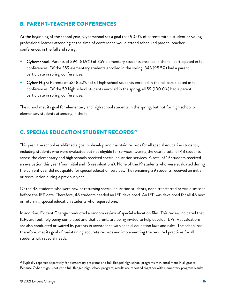# <span id="page-23-0"></span>B. PARENT–TEACHER CONFERENCES

At the beginning of the school year, Cyberschool set a goal that 90.0% of parents with a student or young professional learner attending at the time of conference would attend scheduled parent–teacher conferences in the fall and spring.

- Cyberschool: Parents of 294 (81.9%) of 359 elementary students enrolled in the fall participated in fall conferences. Of the 359 elementary students enrolled in the spring, 343 (95.5%) had a parent participate in spring conferences.
- Cyber High: Parents of 52 (85.2%) of 61 high school students enrolled in the fall participated in fall conferences. Of the 59 high school students enrolled in the spring, all 59 (100.0%) had a parent participate in spring conferences.

The school met its goal for elementary and high school students in the spring, but not for high school or elementary students attending in the fall.

# <span id="page-23-1"></span>**C. SPECIAL EDUCATION STUDENT RECORDS<sup>[21](#page-23-2)</sup>**

This year, the school established a goal to develop and maintain records for all special education students, including students who were evaluated but not eligible for services. During the year, a total of 48 students across the elementary and high schools received special education services. A total of 19 students received an evaluation this year (four initial and 15 reevaluations). None of the 19 students who were evaluated during the current year did not qualify for special education services. The remaining 29 students received an initial or reevaluation during a previous year.

Of the 48 students who were new or returning special education students, none transferred or was dismissed before the IEP date. Therefore, 48 students needed an IEP developed. An IEP was developed for all 48 new or returning special education students who required one.

In addition, Evident Change conducted a random review of special education files. This review indicated that IEPs are routinely being completed and that parents are being invited to help develop IEPs. Reevaluations are also conducted or waived by parents in accordance with special education laws and rules. The school has, therefore, met its goal of maintaining accurate records and implementing the required practices for all students with special needs.

<span id="page-23-2"></span><sup>&</sup>lt;sup>21</sup> Typically reported separately for elementary programs and full-fledged high school programs with enrollment in all grades. Because Cyber High is not yet a full-fledged high school program, results are reported together with elementary program results.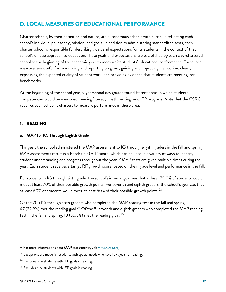# <span id="page-24-0"></span>D. LOCAL MEASURES OF EDUCATIONAL PERFORMANCE

Charter schools, by their definition and nature, are autonomous schools with curricula reflecting each school's individual philosophy, mission, and goals. In addition to administering standardized tests, each charter school is responsible for describing goals and expectations for its students in the context of that school's unique approach to education. These goals and expectations are established by each city-chartered school at the beginning of the academic year to measure its students' educational performance. These local measures are useful for monitoring and reporting progress, guiding and improving instruction, clearly expressing the expected quality of student work, and providing evidence that students are meeting local benchmarks.

At the beginning of the school year, Cyberschool designated four different areas in which students' competencies would be measured: reading/literacy, math, writing, and IEP progress. Note that the CSRC requires each school it charters to measure performance in these areas.

# <span id="page-24-1"></span>1. READING

# <span id="page-24-2"></span>a. MAP for K5 Through Eighth Grade

This year, the school administered the MAP assessment to K5 through eighth graders in the fall and spring. MAP assessments result in a Rasch unit (RIT) score, which can be used in a variety of ways to identify student understanding and progress throughout the year.<sup>[22](#page-24-3)</sup> MAP tests are given multiple times during the year. Each student receives a target RIT growth score, based on their grade level and performance in the fall.

For students in K5 through sixth grade, the school's internal goal was that at least 70.0% of students would meet at least 70% of their possible growth points. For seventh and eighth graders, the school's goal was that at least 60% of students would meet at least 50% of their possible growth points.<sup>[23](#page-24-4)</sup>

Of the 205 K5 through sixth graders who completed the MAP reading test in the fall and spring, 47 (22.9%) met the reading goal.<sup>[24](#page-24-5)</sup> Of the 51 seventh and eighth graders who completed the MAP reading test in the fall and spring, 18 (35.3%) met the reading goal.<sup>[25](#page-24-6)</sup>

<span id="page-24-3"></span><sup>&</sup>lt;sup>22</sup> For more information about MAP assessments, visi[t www.nwea.org](https://www.nwea.org/)

<span id="page-24-4"></span> $23$  Exceptions are made for students with special needs who have IEP goals for reading.

<span id="page-24-5"></span><sup>&</sup>lt;sup>24</sup> Excludes nine students with IEP goals in reading.

<span id="page-24-6"></span><sup>&</sup>lt;sup>25</sup> Excludes nine students with IEP goals in reading.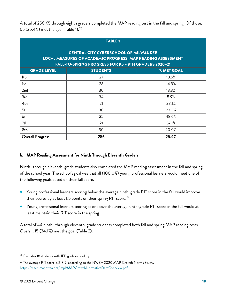A total of 256 K5 through eighth graders completed the MAP reading test in the fall and spring. Of those, 65 (25.4%) met the goal (Table 1).[26](#page-25-1)

| <b>TABLE 1</b><br><b>CENTRAL CITY CYBERSCHOOL OF MILWAUKEE</b><br><b>LOCAL MEASURES OF ACADEMIC PROGRESS: MAP READING ASSESSMENT</b><br>FALL-TO-SPRING PROGRESS FOR K5 - 8TH GRADERS 2020-21 |                 |            |  |  |
|----------------------------------------------------------------------------------------------------------------------------------------------------------------------------------------------|-----------------|------------|--|--|
| <b>GRADE LEVEL</b>                                                                                                                                                                           | <b>STUDENTS</b> | % MET GOAL |  |  |
| K <sub>5</sub>                                                                                                                                                                               | 27              | 18.5%      |  |  |
| 1st                                                                                                                                                                                          | 28              | 14.3%      |  |  |
| 2 <sub>nd</sub>                                                                                                                                                                              | 30              | 13.3%      |  |  |
| 3rd                                                                                                                                                                                          | 34              | 5.9%       |  |  |
| 4th                                                                                                                                                                                          | 21              | 38.1%      |  |  |
| 5th                                                                                                                                                                                          | 30              | 23.3%      |  |  |
| 6th                                                                                                                                                                                          | 35              | 48.6%      |  |  |
| 7th                                                                                                                                                                                          | 21              | 57.1%      |  |  |
| 8th                                                                                                                                                                                          | 30              | 20.0%      |  |  |
| <b>Overall Progress</b>                                                                                                                                                                      | 256             | 25.4%      |  |  |

# <span id="page-25-0"></span>b. MAP Reading Assessment for Ninth Through Eleventh Graders

Ninth- through eleventh-grade students also completed the MAP reading assessment in the fall and spring of the school year. The school's goal was that all (100.0%) young professional learners would meet one of the following goals based on their fall score.

- Young professional learners scoring below the average ninth-grade RIT score in the fall would improve their scores by at least 1.5 points on their spring RIT score. $^{27}$  $^{27}$  $^{27}$
- Young professional learners scoring at or above the average ninth-grade RIT score in the fall would at least maintain their RIT score in the spring.

A total of 44 ninth- through eleventh-grade students completed both fall and spring MAP reading tests. Overall, 15 (34.1%) met the goal (Table 2).

<span id="page-25-1"></span><sup>&</sup>lt;sup>26</sup> Excludes 18 students with IEP goals in reading.

<span id="page-25-2"></span> $27$  The average RIT score is 218.9, according to the NWEA 2020 MAP Growth Norms Study. <https://teach.mapnwea.org/impl/MAPGrowthNormativeDataOverview.pdf>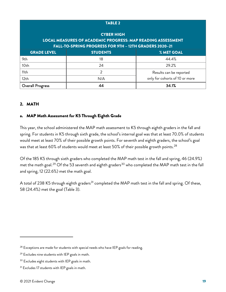| <b>TABLE 2</b>                                                                          |                                                        |                                |  |  |
|-----------------------------------------------------------------------------------------|--------------------------------------------------------|--------------------------------|--|--|
| <b>CYBER HIGH</b><br><b>LOCAL MEASURES OF ACADEMIC PROGRESS: MAP READING ASSESSMENT</b> |                                                        |                                |  |  |
|                                                                                         | FALL-TO-SPRING PROGRESS FOR 9TH - 12TH GRADERS 2020-21 |                                |  |  |
| <b>GRADE LEVEL</b>                                                                      | <b>STUDENTS</b>                                        | % MET GOAL                     |  |  |
| 9th                                                                                     | 18                                                     | 44.4%                          |  |  |
| 10th                                                                                    | 24                                                     | 29.2%                          |  |  |
| 11th                                                                                    | $\mathcal{P}$                                          | Results can be reported        |  |  |
| 12th                                                                                    | N/A                                                    | only for cohorts of 10 or more |  |  |
| Overall Progress                                                                        | 44                                                     | 34.1%                          |  |  |

# <span id="page-26-0"></span>2. MATH

# <span id="page-26-1"></span>a. MAP Math Assessment for K5 Through Eighth Grade

This year, the school administered the MAP math assessment to K5 through eighth graders in the fall and spring. For students in K5 through sixth grade, the school's internal goal was that at least 70.0% of students would meet at least 70% of their possible growth points. For seventh and eighth graders, the school's goal was that at least 60% of students would meet at least 50% of their possible growth points.<sup>[28](#page-26-2)</sup>

Of the 185 K5 through sixth graders who completed the MAP math test in the fall and spring, 46 (24.9%) met the math goal.<sup>[29](#page-26-3)</sup> Of the 53 seventh and eighth graders<sup>[30](#page-26-4)</sup> who completed the MAP math test in the fall and spring, 12 (22.6%) met the math goal.

A total of 238 K5 through eighth graders<sup>[31](#page-26-5)</sup> completed the MAP math test in the fall and spring. Of these, 58 (24.4%) met the goal (Table 3).

<span id="page-26-2"></span> $28$  Exceptions are made for students with special needs who have IEP goals for reading.

<span id="page-26-3"></span><sup>&</sup>lt;sup>29</sup> Excludes nine students with IEP goals in math.

<span id="page-26-4"></span><sup>&</sup>lt;sup>30</sup> Excludes eight students with IEP goals in math.

<span id="page-26-5"></span><sup>&</sup>lt;sup>31</sup> Excludes 17 students with IEP goals in math.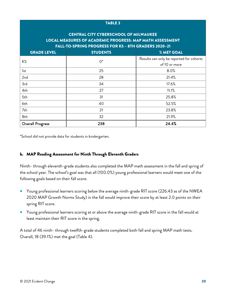### TABLE 3

# CENTRAL CITY CYBERSCHOOL OF MILWAUKEE LOCAL MEASURES OF ACADEMIC PROGRESS: MAP MATH ASSESSMENT FALL-TO-SPRING PROGRESS FOR K5 – 8TH GRADERS 2020–21

| <b>GRADE LEVEL</b> | <b>STUDENTS</b> | % MET GOAL                               |
|--------------------|-----------------|------------------------------------------|
| K <sub>5</sub>     | $0^*$           | Results can only be reported for cohorts |
|                    |                 | of 10 or more                            |
| 1st                | 25              | 8.0%                                     |
| 2nd                | 28              | 21.4%                                    |
| 3rd                | 34              | 17.6%                                    |
| 4th                | 27              | 11.1%                                    |
| 5th                | 31              | 25.8%                                    |
| 6th                | 40              | 52.5%                                    |
| 7th                | 21              | 23.8%                                    |
| 8th                | 32              | 21.9%                                    |
| Overall Progress   | 238             | 24.4%                                    |

\*School did not provide data for students in kindergarten.

# <span id="page-27-0"></span>b. MAP Reading Assessment for Ninth Through Eleventh Graders

Ninth- through eleventh-grade students also completed the MAP math assessment in the fall and spring of the school year. The school's goal was that all (100.0%) young professional learners would meet one of the following goals based on their fall score.

- Young professional learners scoring below the average ninth-grade RIT score (226.43 as of the NWEA 2020 MAP Growth Norms Study) in the fall would improve their score by at least 2.0 points on their spring RIT score.
- Young professional learners scoring at or above the average ninth-grade RIT score in the fall would at least maintain their RIT score in the spring.

A total of 46 ninth- through twelfth-grade students completed both fall and spring MAP math tests. Overall, 18 (39.1%) met the goal (Table 4).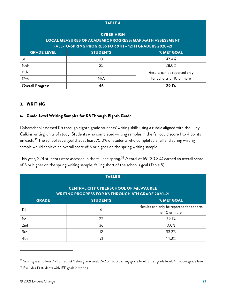| <b>TABLE 4</b>                                                                                                                                 |                 |                              |  |  |
|------------------------------------------------------------------------------------------------------------------------------------------------|-----------------|------------------------------|--|--|
| <b>CYBER HIGH</b><br><b>LOCAL MEASURES OF ACADEMIC PROGRESS: MAP MATH ASSESSMENT</b><br>FALL-TO-SPRING PROGRESS FOR 9TH - 12TH GRADERS 2020-21 |                 |                              |  |  |
| <b>GRADE LEVEL</b>                                                                                                                             | <b>STUDENTS</b> | % MET GOAL                   |  |  |
| 9th                                                                                                                                            | 19              | 47.4%                        |  |  |
| 10th                                                                                                                                           | 25              | 28.0%                        |  |  |
| 11th                                                                                                                                           | $\overline{2}$  | Results can be reported only |  |  |
| 12 <sub>th</sub>                                                                                                                               | N/A             | for cohorts of 10 or more    |  |  |
| <b>Overall Progress</b>                                                                                                                        | 46              | 39.1%                        |  |  |

# <span id="page-28-0"></span>3. WRITING

# <span id="page-28-1"></span>a. Grade-Level Writing Samples for K5 Through Eighth Grade

Cyberschool assessed K5 through eighth grade students' writing skills using a rubric aligned with the Lucy Calkins writing units of study. Students who completed writing samples in the fall could score 1 to 4 points on each.<sup>[32](#page-28-2)</sup> The school set a goal that at least 75.0% of students who completed a fall and spring writing sample would achieve an overall score of 3 or higher on the spring writing sample.

This year, 224 students were assessed in the fall and spring.<sup>[33](#page-28-3)</sup> A total of 69 (30.8%) earned an overall score of 3 or higher on the spring writing sample, falling short of the school's goal (Table 5).

| <b>TABLE 5</b>                                                                                           |                 |                                                           |  |  |
|----------------------------------------------------------------------------------------------------------|-----------------|-----------------------------------------------------------|--|--|
| <b>CENTRAL CITY CYBERSCHOOL OF MILWAUKEE</b><br><b>WRITING PROGRESS FOR K5 THROUGH 8TH GRADE 2020-21</b> |                 |                                                           |  |  |
| <b>GRADE</b>                                                                                             | <b>STUDENTS</b> | % MET GOAL                                                |  |  |
| K <sub>5</sub>                                                                                           | 6               | Results can only be reported for cohorts<br>of 10 or more |  |  |
| 1st                                                                                                      | 22              | 59.1%                                                     |  |  |
| 2 <sub>nd</sub>                                                                                          | 36              | 0.0%                                                      |  |  |
| 3rd                                                                                                      | 12              | 33.3%                                                     |  |  |
| 4th                                                                                                      | 21              | 14.3%                                                     |  |  |

<span id="page-28-2"></span> $32$  Scoring is as follows: 1-1.5 = at risk/below grade level; 2-2.5 = approaching grade level; 3 = at grade level; 4 = above grade level.

<span id="page-28-3"></span><sup>&</sup>lt;sup>33</sup> Excludes 13 students with IEP goals in writing.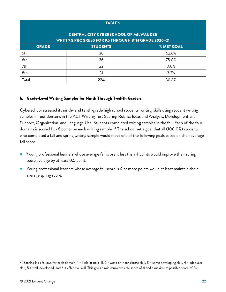### TABLE 5

# CENTRAL CITY CYBERSCHOOL OF MILWAUKEE WRITING PROGRESS FOR K5 THROUGH 8TH GRADE 2020–21

| <b>GRADE</b> | <b>STUDENTS</b> | % MET GOAL |  |  |
|--------------|-----------------|------------|--|--|
| 5th          | 38              | 52.6%      |  |  |
| 6th          | 36              | 75.0%      |  |  |
| 7th          | 22              | 0.0%       |  |  |
| 8th          | 31              | 3.2%       |  |  |
| Total        | 224             | 30.8%      |  |  |

# <span id="page-29-0"></span>b. Grade-Level Writing Samples for Ninth Through Twelfth Graders

Cyberschool assessed its ninth- and tenth-grade high school students' writing skills using student writing samples in four domains in the ACT Writing Test Scoring Rubric: Ideas and Analysis, Development and Support, Organization, and Language Use. Students completed writing samples in the fall. Each of the four domains is scored 1 to 6 points on each writing sample.<sup>[34](#page-29-1)</sup> The school set a goal that all (100.0%) students who completed a fall and spring writing sample would meet one of the following goals based on their average fall score.

- Young professional learners whose average fall score is less than 4 points would improve their spring score average by at least 0.5 point.
- Young professional learners whose average fall score is 4 or more points would at least maintain their average spring score.

<span id="page-29-1"></span> $34$  Scoring is as follows for each domain: 1 = little or no skill, 2 = weak or inconsistent skill, 3 = some developing skill, 4 = adequate skill, 5 = well-developed, and 6 = effective skill. This gives a minimum possible score of 4 and a maximum possible score of 24.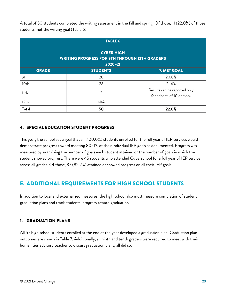A total of 50 students completed the writing assessment in the fall and spring. Of those, 11 (22.0%) of those students met the writing goal (Table 6).

| <b>TABLE 6</b>                                                                           |                 |                                                           |  |  |
|------------------------------------------------------------------------------------------|-----------------|-----------------------------------------------------------|--|--|
| <b>CYBER HIGH</b><br><b>WRITING PROGRESS FOR 9TH THROUGH 12TH GRADERS</b><br>$2020 - 21$ |                 |                                                           |  |  |
| <b>GRADE</b>                                                                             | <b>STUDENTS</b> | % MET GOAL                                                |  |  |
| 9th                                                                                      | 20              | 20.0%                                                     |  |  |
| 10th                                                                                     | 28              | 21.4%                                                     |  |  |
| 11th                                                                                     | $\overline{2}$  | Results can be reported only<br>for cohorts of 10 or more |  |  |
| 12th                                                                                     | N/A             |                                                           |  |  |
| Total                                                                                    | 50              | 22.0%                                                     |  |  |

# <span id="page-30-0"></span>4. SPECIAL EDUCATION STUDENT PROGRESS

This year, the school set a goal that all (100.0%) students enrolled for the full year of IEP services would demonstrate progress toward meeting 80.0% of their individual IEP goals as documented. Progress was measured by examining the number of goals each student attained or the number of goals in which the student showed progress. There were 45 students who attended Cyberschool for a full year of IEP service across all grades. Of those, 37 (82.2%) attained or showed progress on all their IEP goals.

# <span id="page-30-1"></span>E. ADDITIONAL REQUIREMENTS FOR HIGH SCHOOL STUDENTS

In addition to local and externalized measures, the high school also must measure completion of student graduation plans and track students' progress toward graduation.

# <span id="page-30-2"></span>1. GRADUATION PLANS

All 57 high school students enrolled at the end of the year developed a graduation plan. Graduation plan outcomes are shown in Table 7. Additionally, all ninth and tenth graders were required to meet with their humanities advisory teacher to discuss graduation plans; all did so.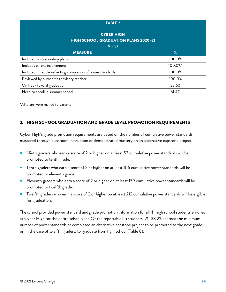### TABLE 7

# CYBER HIGH HIGH SCHOOL GRADUATION PLANS 2020–21

| $N = 57$                                                   |         |  |
|------------------------------------------------------------|---------|--|
| <b>MEASURE</b>                                             | $\%$    |  |
| Included postsecondary plans                               | 100.0%  |  |
| Includes parent involvement                                | 100.0%* |  |
| Included schedule reflecting completion of power standards | 100.0%  |  |
| Reviewed by humanities advisory teacher                    | 100.0%  |  |
| On track toward graduation                                 | 38.6%   |  |
| Need to enroll in summer school                            | 61.4%   |  |

\*All plans were mailed to parents

# <span id="page-31-0"></span>2. HIGH SCHOOL GRADUATION AND GRADE LEVEL PROMOTION REQUIREMENTS

Cyber High's grade promotion requirements are based on the number of cumulative power standards mastered through classroom instruction or demonstrated mastery on an alternative capstone project.

- Ninth graders who earn a score of 2 or higher on at least 53 cumulative power standards will be promoted to tenth grade.
- Tenth graders who earn a score of 2 or higher on at least 106 cumulative power standards will be promoted to eleventh grade.
- Eleventh graders who earn a score of 2 or higher on at least 159 cumulative power standards will be promoted to twelfth grade.
- Twelfth graders who earn a score of 2 or higher on at least 212 cumulative power standards will be eligible for graduation.

The school provided power standard and grade promotion information for all 41 high school students enrolled at Cyber High for the entire school year. Of the reportable 55 students, 21 (38.2%) earned the minimum number of power standards or completed an alternative capstone project to be promoted to the next grade or, in the case of twelfth graders, to graduate from high school (Table 8).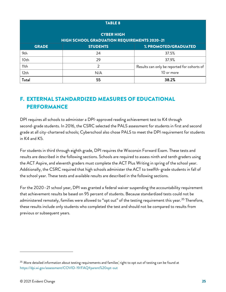| <b>TABLE 8</b>   |                                                                         |                                             |  |  |
|------------------|-------------------------------------------------------------------------|---------------------------------------------|--|--|
|                  | <b>CYBER HIGH</b><br><b>HIGH SCHOOL GRADUATION REQUIREMENTS 2020-21</b> |                                             |  |  |
| <b>GRADE</b>     | <b>STUDENTS</b>                                                         | % PROMOTED/GRADUATED                        |  |  |
| 9th              | 24                                                                      | 37.5%                                       |  |  |
| 10th             | 29                                                                      | 37.9%                                       |  |  |
| 11th             | 2                                                                       | Results can only be reported for cohorts of |  |  |
| 12 <sub>th</sub> | N/A                                                                     | 10 or more                                  |  |  |
| Total            | 55                                                                      | 38.2%                                       |  |  |

# <span id="page-32-0"></span>F. EXTERNAL STANDARDIZED MEASURES OF EDUCATIONAL PERFORMANCE

DPI requires all schools to administer a DPI-approved reading achievement test to K4 through second-grade students. In 2016, the CSRC selected the PALS assessment for students in first and second grade at all city-chartered schools; Cyberschool also chose PALS to meet the DPI requirement for students in K4 and K5.

For students in third through eighth grade, DPI requires the Wisconsin Forward Exam. These tests and results are described in the following sections. Schools are required to assess ninth and tenth graders using the ACT Aspire, and eleventh graders must complete the ACT Plus Writing in spring of the school year. Additionally, the CSRC required that high schools administer the ACT to twelfth-grade students in fall of the school year. These tests and available results are described in the following sections.

For the 2020–21 school year, DPI was granted a federal waiver suspending the accountability requirement that achievement results be based on 95 percent of students. Because standardized tests could not be administered remotely, families were allowed to "opt out" of the testing requirement this year.<sup>[35](#page-32-1)</sup> Therefore, these results include only students who completed the test and should not be compared to results from previous or subsequent years.

<span id="page-32-1"></span> $35$  More detailed information about testing requirements and families' right to opt out of testing can be found at <https://dpi.wi.gov/assessment/COVID-19/FAQ#parent%20opt-out>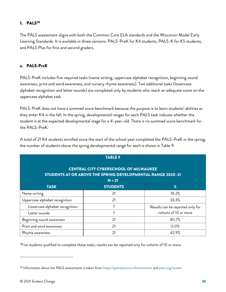# <span id="page-33-0"></span>1.  $PALS<sup>36</sup>$  $PALS<sup>36</sup>$  $PALS<sup>36</sup>$

The PALS assessment aligns with both the Common Core ELA standards and the Wisconsin Model Early Learning Standards. It is available in three versions: PALS-PreK for K4 students, PALS-K for K5 students, and PALS Plus for first and second graders.

# <span id="page-33-1"></span>a. PALS-PreK

PALS-PreK includes five required tasks (name writing, uppercase alphabet recognition, beginning sound awareness, print and word awareness, and nursery rhyme awareness). Two additional tasks (lowercase alphabet recognition and letter sounds) are completed only by students who reach an adequate score on the uppercase alphabet task.

PALS-PreK does not have a summed score benchmark because the purpose is to learn students' abilities as they enter K4 in the fall. In the spring, developmental ranges for each PALS task indicate whether the student is at the expected developmental stage for a 4-year-old. There is no summed score benchmark for the PALS-PreK.

| <b>TABLE 9</b>                                                                                              |                 |                                  |  |  |
|-------------------------------------------------------------------------------------------------------------|-----------------|----------------------------------|--|--|
| <b>CENTRAL CITY CYBERSCHOOL OF MILWAUKEE</b><br>STUDENTS AT OR ABOVE THE SPRING DEVELOPMENTAL RANGE 2020-21 |                 |                                  |  |  |
|                                                                                                             | $N = 21$        |                                  |  |  |
| <b>TASK</b>                                                                                                 | <b>STUDENTS</b> | $\%$                             |  |  |
| Name writing                                                                                                | 21              | 76.2%                            |  |  |
| Uppercase alphabet recognition                                                                              | 21              | 33.3%                            |  |  |
| Lowercase alphabet recognition                                                                              | 7               | Results can be reported only for |  |  |
| Letter sounds                                                                                               | 7               | cohorts of 10 or more            |  |  |
| Beginning sound awareness                                                                                   | 21              | 85.7%                            |  |  |
| Print and word awareness                                                                                    | 21              | 0.0%                             |  |  |
| Rhyme awareness                                                                                             | 21              | 42.9%                            |  |  |

A total of 21 K4 students enrolled since the start of the school year completed the PALS-PreK in the spring; the number of students above the spring developmental range for each is shown in Table 9.

\*Five students qualified to complete these tasks; results can be reported only for cohorts of 10 or more.

<span id="page-33-2"></span><sup>36</sup> Information about the PALS assessments is taken fro[m https://palsresource.info/wisconsin](https://palsresource.info/wisconsin/) an[d pals.virginia.edu](https://pals.virginia.edu/)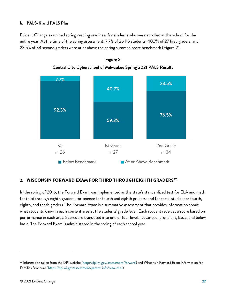# <span id="page-34-0"></span>b. PALS-K and PALS Plus

Evident Change examined spring reading readiness for students who were enrolled at the school for the entire year. At the time of the spring assessment, 7.7% of 26 K5 students, 40.7% of 27 first graders, and 23.5% of 34 second graders were at or above the spring summed score benchmark (Figure 2).





# <span id="page-34-1"></span>2. WISCONSIN FORWARD EXAM FOR THIRD THROUGH EIGHTH GRADERS<sup>[37](#page-34-2)</sup>

In the spring of 2016, the Forward Exam was implemented as the state's standardized test for ELA and math for third through eighth graders; for science for fourth and eighth graders; and for social studies for fourth, eighth, and tenth graders. The Forward Exam is a summative assessment that provides information about what students know in each content area at the students' grade level. Each student receives a score based on performance in each area. Scores are translated into one of four levels: advanced, proficient, basic, and below basic. The Forward Exam is administered in the spring of each school year.

<span id="page-34-2"></span> $37$  Information taken from the DPI website [\(http://dpi.wi.gov/assessment/forward\)](http://dpi.wi.gov/assessment/forward) and Wisconsin Forward Exam Information for Families Brochure [\(https://dpi.wi.gov/assessment/parent-info/resources\)](https://dpi.wi.gov/assessment/parent-info/resources).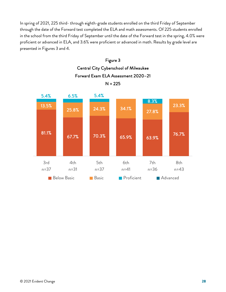In spring of 2021, 225 third- through eighth-grade students enrolled on the third Friday of September through the date of the Forward test completed the ELA and math assessments. Of 225 students enrolled in the school from the third Friday of September until the date of the Forward test in the spring, 4.0% were proficient or advanced in ELA, and 3.6% were proficient or advanced in math. Results by grade level are presented in Figures 3 and 4.



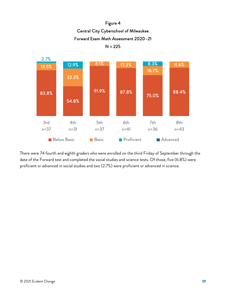



There were 74 fourth and eighth graders who were enrolled on the third Friday of September through the date of the Forward test and completed the social studies and science tests. Of those, five (6.8%) were proficient or advanced in social studies and two (2.7%) were proficient or advanced in science.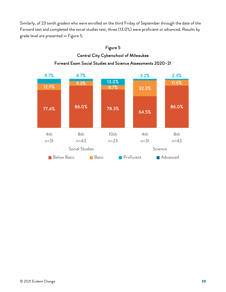Similarly, of 23 tenth graders who were enrolled on the third Friday of September through the date of the Forward test and completed the social studies test, three (13.0%) were proficient or advanced. Results by grade level are presented in Figure 5.



# Figure 5 Central City Cyberschool of Milwaukee Forward Exam Social Studies and Science Assessments 2020–21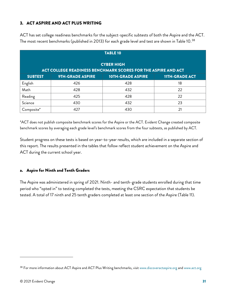# <span id="page-38-0"></span>3. ACT ASPIRE AND ACT PLUS WRITING

| <b>TABLE 10</b>                                                                    |                  |                          |                       |
|------------------------------------------------------------------------------------|------------------|--------------------------|-----------------------|
| <b>CYBER HIGH</b><br>ACT COLLEGE READINESS BENCHMARK SCORES FOR THE ASPIRE AND ACT |                  |                          |                       |
| <b>SUBTEST</b>                                                                     | 9TH-GRADE ASPIRE | <b>10TH-GRADE ASPIRE</b> | <b>11TH-GRADE ACT</b> |
| English                                                                            | 426              | 428                      | 18                    |
| Math                                                                               | 428              | 432                      | 22                    |
| Reading                                                                            | 425              | 428                      | 22                    |
| Science                                                                            | 430              | 432                      | 23                    |
| Composite*                                                                         | 427              | 430                      | 21                    |

ACT has set college readiness benchmarks for the subject-specific subtests of both the Aspire and the ACT. The most recent benchmarks (published in 2013) for each grade level and test are shown in Table 10. $^{\rm 38}$  $^{\rm 38}$  $^{\rm 38}$ 

\*ACT does not publish composite benchmark scores for the Aspire or the ACT. Evident Change created composite benchmark scores by averaging each grade level's benchmark scores from the four subtests, as published by ACT.

Student progress on these tests is based on year-to-year results, which are included in a separate section of this report. The results presented in the tables that follow reflect student achievement on the Aspire and ACT during the current school year.

# <span id="page-38-1"></span>a. Aspire for Ninth and Tenth Graders

The Aspire was administered in spring of 2021. Ninth- and tenth-grade students enrolled during that time period who "opted in" to testing completed the tests, meeting the CSRC expectation that students be tested. A total of 17 ninth and 25 tenth graders completed at least one section of the Aspire (Table 11).

<span id="page-38-2"></span><sup>38</sup> For more information about ACT Aspire and ACT Plus Writing benchmarks, visit [www.discoveractaspire.org](https://www.discoveractaspire.org/) an[d www.act.org](http://www.act.org/)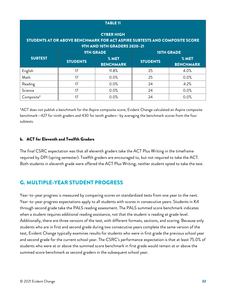| <b>TABLE 11</b>   |                 |                              |                                                                            |                           |  |
|-------------------|-----------------|------------------------------|----------------------------------------------------------------------------|---------------------------|--|
| <b>CYBER HIGH</b> |                 |                              |                                                                            |                           |  |
|                   |                 | 9TH AND 10TH GRADERS 2020-21 | STUDENTS AT OR ABOVE BENCHMARK FOR ACT ASPIRE SUBTESTS AND COMPOSITE SCORE |                           |  |
|                   |                 | <b>9TH GRADE</b>             |                                                                            | <b>10TH GRADE</b>         |  |
| <b>SUBTEST</b>    | <b>STUDENTS</b> | % MET<br><b>BENCHMARK</b>    | <b>STUDENTS</b>                                                            | % MET<br><b>BENCHMARK</b> |  |
| English           | 17              | 11.8%                        | 25                                                                         | 4.0%                      |  |
| Math              | 17              | 0.0%                         | 25                                                                         | 0.0%                      |  |
| Reading           | 17              | 0.0%                         | 24                                                                         | 4.2%                      |  |
| Science           | 17              | 0.0%                         | 24                                                                         | 0.0%                      |  |
| Composite*        | 17              | 0.0%                         | 24                                                                         | 0.0%                      |  |

\*ACT does not publish a benchmark for the Aspire composite score; Evident Change calculated an Aspire composite benchmark—427 for ninth graders and 430 for tenth graders—by averaging the benchmark scores from the four subtests.

# <span id="page-39-0"></span>b. ACT for Eleventh and Twelfth Graders

The final CSRC expectation was that all eleventh graders take the ACT Plus Writing in the timeframe required by DPI (spring semester). Twelfth graders are encouraged to, but not required to take the ACT. Both students in eleventh grade were offered the ACT Plus Writing; neither student opted to take the test.

# <span id="page-39-1"></span>G. MULTIPLE-YEAR STUDENT PROGRESS

Year-to-year progress is measured by comparing scores on standardized tests from one year to the next. Year-to-year progress expectations apply to all students with scores in consecutive years. Students in K4 through second grade take the PALS reading assessment. The PALS summed score benchmark indicates when a student requires additional reading assistance, not that the student is reading at grade level. Additionally, there are three versions of the test, with different formats, sections, and scoring. Because only students who are in first and second grade during two consecutive years complete the same version of the test, Evident Change typically examines results for students who were in first grade the previous school year and second grade for the current school year. The CSRC's performance expectation is that at least 75.0% of students who were at or above the summed score benchmark in first grade would remain at or above the summed score benchmark as second graders in the subsequent school year.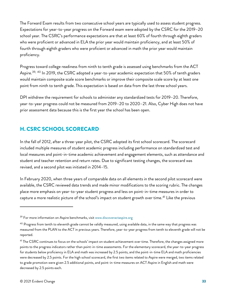The Forward Exam results from two consecutive school years are typically used to assess student progress. Expectations for year-to-year progress on the Forward exam were adopted by the CSRC for the 2019–20 school year. The CSRC's performance expectations are that at least 60% of fourth through eighth graders who were proficient or advanced in ELA the prior year would maintain proficiency, and at least 50% of fourth through eighth graders who were proficient or advanced in math the prior year would maintain proficiency.

Progress toward college readiness from ninth to tenth grade is assessed using benchmarks from the ACT Aspire.<sup>[39,](#page-40-1) [40](#page-40-2)</sup> In 2019, the CSRC adopted a year-to-year academic expectation that 50% of tenth graders would maintain composite scale score benchmarks or improve their composite scale score by at least one point from ninth to tenth grade. This expectation is based on data from the last three school years.

DPI withdrew the requirement for schools to administer any standardized tests for 2019–20. Therefore, year-to-year progress could not be measured from 2019–20 to 2020–21. Also, Cyber High does not have prior assessment data because this is the first year the school has been open.

# <span id="page-40-0"></span>H. CSRC SCHOOL SCORECARD

In the fall of 2012, after a three-year pilot, the CSRC adopted its first school scorecard. The scorecard included multiple measures of student academic progress including performance on standardized test and local measures and point-in-time academic achievement and engagement elements, such as attendance and student and teacher retention and return rates. Due to significant testing changes, the scorecard was revised, and a second pilot was initiated in 2014–15.

In February 2020, when three years of comparable data on all elements in the second pilot scorecard were available, the CSRC reviewed data trends and made minor modifications to the scoring rubric. The changes place more emphasis on year-to-year student progress and less on point-in-time measures in order to capture a more realistic picture of the school's impact on student growth over time.<sup>[41](#page-40-3)</sup> Like the previous

<span id="page-40-1"></span><sup>&</sup>lt;sup>39</sup> For more information on Aspire benchmarks, visit [www.discoveractaspire.org](https://www.discoveractaspire.org/)

<span id="page-40-2"></span> $40$  Progress from tenth to eleventh grade cannot be validly measured, using available data, in the same way that progress was measured from the PLAN to the ACT in previous years. Therefore, year-to-year progress from tenth to eleventh grade will not be reported.

<span id="page-40-3"></span><sup>&</sup>lt;sup>41</sup> The CSRC continues to focus on the schools' impact on student achievement over time. Therefore, the changes assigned more points to the progress indicators rather than point-in-time assessments. For the elementary scorecard, the year-to-year progress for students below proficiency in ELA and math was increased by 2.5 points, and the point-in-time ELA and math proficiencies were decreased by 2.5 points. For the high school scorecard, the first two items related to Aspire were merged, two items related to grade promotion were given 2.5 additional points, and point-in-time measures on ACT Aspire in English and math were decreased by 2.5 points each.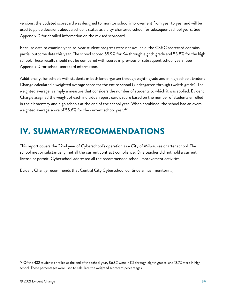versions, the updated scorecard was designed to monitor school improvement from year to year and will be used to guide decisions about a school's status as a city-chartered school for subsequent school years. See Appendix D for detailed information on the revised scorecard.

Because data to examine year-to-year student progress were not available, the CSRC scorecard contains partial outcome data this year. The school scored 55.9% for K4 through eighth grade and 53.8% for the high school. These results should not be compared with scores in previous or subsequent school years. See Appendix D for school scorecard information.

Additionally, for schools with students in both kindergarten through eighth grade and in high school, Evident Change calculated a weighted average score for the entire school (kindergarten through twelfth grade). The weighted average is simply a measure that considers the number of students to which it was applied. Evident Change assigned the weight of each individual report card's score based on the number of students enrolled in the elementary and high schools at the end of the school year. When combined, the school had an overall weighted average score of 55.6% for the current school year.<sup>[42](#page-41-1)</sup>

# <span id="page-41-0"></span>IV. SUMMARY/RECOMMENDATIONS

This report covers the 22nd year of Cyberschool's operation as a City of Milwaukee charter school. The school met or substantially met all the current contract compliance. One teacher did not hold a current license or permit. Cyberschool addressed all the recommended school improvement activities.

Evident Change recommends that Central City Cyberschool continue annual monitoring.

<span id="page-41-1"></span> $42$  Of the 432 students enrolled at the end of the school year, 86.3% were in K5 through eighth grades, and 13.7% were in high school. Those percentages were used to calculate the weighted scorecard percentages.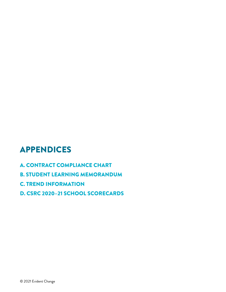# APPENDICES

- A. CONTRACT COMPLIANCE CHART
- B. STUDENT LEARNING MEMORANDUM
- C. TREND INFORMATION
- D. CSRC 2020–21 SCHOOL SCORECARDS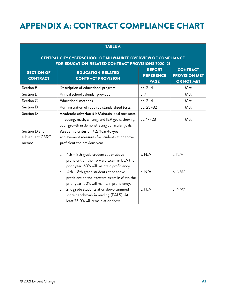# APPENDIX A: CONTRACT COMPLIANCE CHART

| <b>TABLE A</b>                       |                                                                                                                                                        |                                                  |                                                              |
|--------------------------------------|--------------------------------------------------------------------------------------------------------------------------------------------------------|--------------------------------------------------|--------------------------------------------------------------|
|                                      | <b>CENTRAL CITY CYBERSCHOOL OF MILWAUKEE OVERVIEW OF COMPLIANCE</b><br>FOR EDUCATION-RELATED CONTRACT PROVISIONS 2020-21                               |                                                  |                                                              |
| <b>SECTION OF</b><br><b>CONTRACT</b> | <b>EDUCATION-RELATED</b><br><b>CONTRACT PROVISION</b>                                                                                                  | <b>REPORT</b><br><b>REFERENCE</b><br><b>PAGE</b> | <b>CONTRACT</b><br><b>PROVISION MET</b><br><b>OR NOT MET</b> |
| Section B                            | Description of educational program.                                                                                                                    | pp. 2-4                                          | Met                                                          |
| Section B                            | Annual school calendar provided.                                                                                                                       | p. 7                                             | Met                                                          |
| Section C                            | Educational methods.                                                                                                                                   | pp. 2-4                                          | Met                                                          |
| Section D                            | Administration of required standardized tests.                                                                                                         | pp. 25-32                                        | Met                                                          |
| Section D                            | Academic criterion #1: Maintain local measures<br>in reading, math, writing, and IEP goals, showing<br>pupil growth in demonstrating curricular goals. | pp. 17-23                                        | Met                                                          |
| Section D and                        | Academic criterion #2: Year-to-year                                                                                                                    |                                                  |                                                              |
| subsequent CSRC<br>memos             | achievement measures for students at or above<br>proficient the previous year.                                                                         |                                                  |                                                              |
|                                      | 4th - 8th grade students at or above<br>a.<br>proficient on the Forward Exam in ELA the<br>prior year: 60% will maintain proficiency.                  | a. N/A                                           | a. N/A*                                                      |
|                                      | 4th - 8th grade students at or above<br>b.<br>proficient on the Forward Exam in Math the<br>prior year: 50% will maintain proficiency.                 | b. N/A                                           | $b. N/A^*$                                                   |
|                                      | 2nd grade students at or above summed<br>c.<br>score benchmark in reading (PALS): At<br>least 75.0% will remain at or above.                           | c. N/A                                           | c. N/A*                                                      |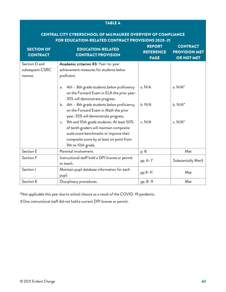| <b>TABLE A</b>                                                                                                           |                                                                                                                                                                                                           |         |                    |  |
|--------------------------------------------------------------------------------------------------------------------------|-----------------------------------------------------------------------------------------------------------------------------------------------------------------------------------------------------------|---------|--------------------|--|
| <b>CENTRAL CITY CYBERSCHOOL OF MILWAUKEE OVERVIEW OF COMPLIANCE</b><br>FOR EDUCATION-RELATED CONTRACT PROVISIONS 2020-21 |                                                                                                                                                                                                           |         |                    |  |
| <b>SECTION OF</b><br><b>CONTRACT</b>                                                                                     | <b>CONTRACT</b><br><b>PROVISION MET</b><br><b>OR NOT MET</b>                                                                                                                                              |         |                    |  |
| Section D and<br>subsequent CSRC<br>memos                                                                                | Academic criterion #3: Year-to-year<br>achievement measures for students below<br>proficient.                                                                                                             |         |                    |  |
|                                                                                                                          | 4th - 8th grade students below proficiency<br>а.<br>on the Forward Exam in ELA the prior year:<br>35% will demonstrate progress.                                                                          | a. N/A  | $a. N/A^*$         |  |
|                                                                                                                          | 4th - 8th grade students below proficiency<br>b.<br>on the Forward Exam in Math the prior<br>year: 35% will demonstrate progress.                                                                         | b. N/A  | $b. N/A^*$         |  |
|                                                                                                                          | 9th and 10th grade students: At least 50%<br>c.<br>of tenth graders will maintain composite<br>scale score benchmarks or improve their<br>composite score by at least on point from<br>9th to 10th grade. | c. N/A  | c. $N/A^*$         |  |
| Section E                                                                                                                | Parental involvement.                                                                                                                                                                                     | p. 8    | Met                |  |
| Section F                                                                                                                | Instructional staff hold a DPI license or permit<br>to teach.                                                                                                                                             | pp. 6-7 | Substantially Met+ |  |
| Section I                                                                                                                | Maintain pupil database information for each<br>pupil.                                                                                                                                                    | pp.9-11 | Met                |  |
| Section K                                                                                                                | pp. 8-9<br>Disciplinary procedures.                                                                                                                                                                       |         | Met                |  |

\*Not applicable this year due to school closure as a result of the COVID-19 pandemic.

†One instructional staff did not hold a current DPI license or permit.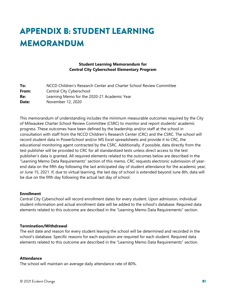# APPENDIX B: STUDENT LEARNING MEMORANDUM

# **Student Learning Memorandum for Central City Cyberschool Elementary Program**

| To:   | NCCD Children's Research Center and Charter School Review Committee |
|-------|---------------------------------------------------------------------|
| From: | Central City Cyberschool                                            |
| Re:   | Learning Memo for the 2020-21 Academic Year                         |
| Date: | November 12, 2020                                                   |

This memorandum of understanding includes the minimum measurable outcomes required by the City of Milwaukee Charter School Review Committee (CSRC) to monitor and report students' academic progress. These outcomes have been defined by the leadership and/or staff at the school in consultation with staff from the NCCD Children's Research Center (CRC) and the CSRC. The school will record student data in PowerSchool and/or MS Excel spreadsheets and provide it to CRC, the educational monitoring agent contracted by the CSRC. Additionally, if possible, data directly from the test publisher will be provided to CRC for all standardized tests unless direct access to the test publisher's data is granted. All required elements related to the outcomes below are described in the "Learning Memo Data Requirements" section of this memo. CRC requests electronic submission of yearend data on the fifth day following the last anticipated day of student attendance for the academic year, or June 15, 2021. If, due to virtual learning, the last day of school is extended beyond June 8th, data will be due on the fifth day following the actual last day of school.

#### **Enrollment**

Central City Cyberschool will record enrollment dates for every student. Upon admission, individual student information and actual enrollment date will be added to the school's database. Required data elements related to this outcome are described in the "Learning Memo Data Requirements" section.

#### **Termination/Withdrawal**

The exit date and reason for every student leaving the school will be determined and recorded in the school's database. Specific reasons for each expulsion are required for each student. Required data elements related to this outcome are described in the "Learning Memo Data Requirements" section.

#### **Attendance**

The school will maintain an average daily attendance rate of 80%.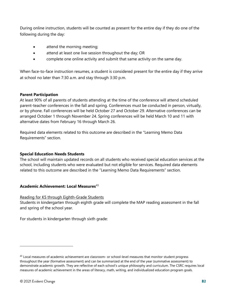During online instruction, students will be counted as present for the entire day if they do one of the following during the day:

- attend the morning meeting;
- attend at least one live session throughout the day; OR
- complete one online activity and submit that same activity on the same day.

When face-to-face instruction resumes, a student is considered present for the entire day if they arrive at school no later than 7:30 a.m. and stay through 3:30 p.m.

### **Parent Participation**

At least 90% of all parents of students attending at the time of the conference will attend scheduled parent-teacher conferences in the fall and spring. Conferences must be conducted in person, virtually, or by phone. Fall conferences will be held October 27 and October 29. Alternative conferences can be arranged October 1 through November 24. Spring conferences will be held March 10 and 11 with alternative dates from February 16 through March 26.

Required data elements related to this outcome are described in the "Learning Memo Data Requirements" section.

#### **Special Education Needs Students**

The school will maintain updated records on all students who received special education services at the school, including students who were evaluated but not eligible for services. Required data elements related to this outcome are described in the "Learning Memo Data Requirements" section.

# **Academic Achievement: Local Measures**[43](#page-46-0)

#### Reading for K5 through Eighth-Grade Students

Students in kindergarten through eighth grade will complete the MAP reading assessment in the fall and spring of the school year.

For students in kindergarten through sixth grade:

<span id="page-46-0"></span><sup>&</sup>lt;sup>43</sup> Local measures of academic achievement are classroom- or school-level measures that monitor student progress throughout the year (formative assessment) and can be summarized at the end of the year (summative assessment) to demonstrate academic growth. They are reflective of each school's unique philosophy and curriculum. The CSRC requires local measures of academic achievement in the areas of literacy, math, writing, and individualized education program goals.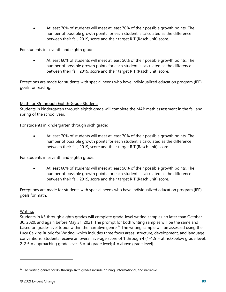• At least 70% of students will meet at least 70% of their possible growth points. The number of possible growth points for each student is calculated as the difference between their fall, 2019, score and their target RIT (Rasch unit) score.

For students in seventh and eighth grade:

• At least 60% of students will meet at least 50% of their possible growth points. The number of possible growth points for each student is calculated as the difference between their fall, 2019, score and their target RIT (Rasch unit) score.

Exceptions are made for students with special needs who have individualized education program (IEP) goals for reading.

# Math for K5 through Eighth-Grade Students

Students in kindergarten through eighth grade will complete the MAP math assessment in the fall and spring of the school year.

For students in kindergarten through sixth grade:

• At least 70% of students will meet at least 70% of their possible growth points. The number of possible growth points for each student is calculated as the difference between their fall, 2019, score and their target RIT (Rasch unit) score.

For students in seventh and eighth grade:

• At least 60% of students will meet at least 50% of their possible growth points. The number of possible growth points for each student is calculated as the difference between their fall, 2019, score and their target RIT (Rasch unit) score.

Exceptions are made for students with special needs who have individualized education program (IEP) goals for math.

#### Writing:

Students in K5 through eighth grades will complete grade-level writing samples no later than October 30, 2020, and again before May 31, 2021. The prompt for both writing samples will be the same and based on grade-level topics within the narrative genre.<sup>[44](#page-47-0)</sup> The writing sample will be assessed using the Lucy Calkins Rubric for Writing, which includes three focus areas: structure, development, and language conventions. Students receive an overall average score of 1 through 4 (1–1.5 = at risk/below grade level;  $2-2.5$  = approaching grade level;  $3$  = at grade level;  $4$  = above grade level).

<span id="page-47-0"></span><sup>44</sup> The writing genres for K5 through sixth grades include opining, informational, and narrative.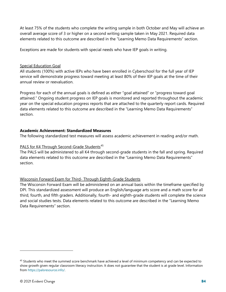At least 75% of the students who complete the writing sample in both October and May will achieve an overall average score of 3 or higher on a second writing sample taken in May 2021. Required data elements related to this outcome are described in the "Learning Memo Data Requirements" section.

Exceptions are made for students with special needs who have IEP goals in writing.

### Special Education Goal

All students (100%) with active IEPs who have been enrolled in Cyberschool for the full year of IEP service will demonstrate progress toward meeting at least 80% of their IEP goals at the time of their annual review or reevaluation.

Progress for each of the annual goals is defined as either "goal attained" or "progress toward goal attained." Ongoing student progress on IEP goals is monitored and reported throughout the academic year on the special education progress reports that are attached to the quarterly report cards. Required data elements related to this outcome are described in the "Learning Memo Data Requirements" section.

# **Academic Achievement: Standardized Measures**

The following standardized test measures will assess academic achievement in reading and/or math.

# PALS for K4 Through Second-Grade Students<sup>[45](#page-48-0)</sup>

The PALS will be administered to all K4 through second-grade students in the fall and spring. Required data elements related to this outcome are described in the "Learning Memo Data Requirements" section.

# Wisconsin Forward Exam for Third- Through Eighth-Grade Students

The Wisconsin Forward Exam will be administered on an annual basis within the timeframe specified by DPI. This standardized assessment will produce an English/language arts score and a math score for all third, fourth, and fifth graders. Additionally, fourth- and eighth-grade students will complete the science and social studies tests. Data elements related to this outcome are described in the "Learning Memo Data Requirements" section.

<span id="page-48-0"></span><sup>&</sup>lt;sup>45</sup> Students who meet the summed score benchmark have achieved a level of minimum competency and can be expected to show growth given regular classroom literacy instruction. It does not guarantee that the student is at grade level. Information from [https://palsresource.info/.](https://palsresource.info/)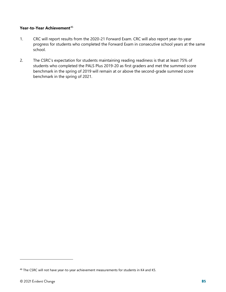### Year-to-Year Achievement<sup>[46](#page-49-0)</sup>

- 1. CRC will report results from the 2020-21 Forward Exam. CRC will also report year-to-year progress for students who completed the Forward Exam in consecutive school years at the same school.
- 2. The CSRC's expectation for students maintaining reading readiness is that at least 75% of students who completed the PALS Plus 2019-20 as first graders and met the summed score benchmark in the spring of 2019 will remain at or above the second-grade summed score benchmark in the spring of 2021.

<span id="page-49-0"></span><sup>46</sup> The CSRC will not have year-to-year achievement measurements for students in K4 and K5.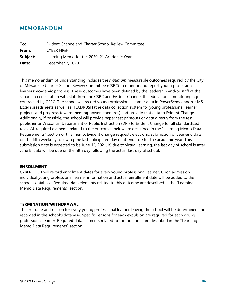# **MEMORANDUM**

| To:      | Evident Change and Charter School Review Committee |
|----------|----------------------------------------------------|
| From:    | CYBER HIGH                                         |
| Subject: | Learning Memo for the 2020-21 Academic Year        |
| Date:    | December 7, 2020                                   |

This memorandum of understanding includes the *minimum* measurable outcomes required by the City of Milwaukee Charter School Review Committee (CSRC) to monitor and report young professional learners' academic progress. These outcomes have been defined by the leadership and/or staff at the school in consultation with staff from the CSRC and Evident Change, the educational monitoring agent contracted by CSRC. The school will record young professional learner data in PowerSchool and/or MS Excel spreadsheets as well as HEADRUSH (the data collection system for young professional learner projects and progress toward meeting power standards) and provide that data to Evident Change. Additionally, if possible, the school will provide paper test printouts or data directly from the test publisher or Wisconsin Department of Public Instruction (DPI) to Evident Change for all standardized tests. All required elements related to the outcomes below are described in the "Learning Memo Data Requirements" section of this memo. Evident Change requests electronic submission of year-end data on the fifth weekday following the last anticipated day of attendance for the academic year. This submission date is expected to be June 15, 2021. If, due to virtual learning, the last day of school is after June 8, data will be due on the fifth day following the actual last day of school.

#### **ENROLLMENT**

CYBER HIGH will record enrollment dates for every young professional learner. Upon admission, individual young professional learner information and actual enrollment date will be added to the school's database. Required data elements related to this outcome are described in the "Learning Memo Data Requirements" section.

#### **TERMINATION/WITHDRAWAL**

The exit date and reason for every young professional learner leaving the school will be determined and recorded in the school's database. Specific reasons for each expulsion are required for each young professional learner. Required data elements related to this outcome are described in the "Learning Memo Data Requirements" section.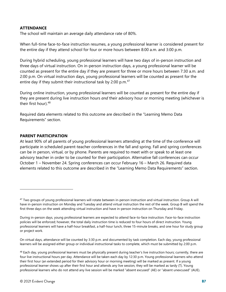### **ATTENDANCE**

The school will maintain an average daily attendance rate of 80%.

When full-time face-to-face instruction resumes, a young professional learner is considered present for the entire day if they attend school for four or more hours between 8:00 a.m. and 3:00 p.m.

During hybrid scheduling, young professional learners will have two days of in-person instruction and three days of virtual instruction. On in-person instruction days, a young professional learner will be counted as present for the entire day if they are present for three or more hours between 7:30 a.m. and 2:00 p.m. On virtual instruction days, young professional learners will be counted as present for the entire day if they submit their instructional task by 2:00 p.m.<sup>[47](#page-51-0)</sup>

During online instruction, young professional learners will be counted as present for the entire day if they are present during live instruction hours *and* their advisory hour or morning meeting (whichever is their first hour).<sup>[48](#page-51-1)</sup>

Required data elements related to this outcome are described in the "Learning Memo Data Requirements" section.

#### **PARENT PARTICIPATION**

At least 90% of all parents of young professional learners attending at the time of the conference will participate in scheduled parent-teacher conferences in the fall and spring. Fall and spring conferences can be in person, virtual, or by phone. Parents are required to meet with or speak to at least one advisory teacher in order to be counted for their participation. Alternative fall conferences can occur October 1 – November 24. Spring conferences can occur February 16 – March 26. Required data elements related to this outcome are described in the "Learning Memo Data Requirements" section.

On virtual days, attendance will be counted by 3:30 p.m. and documented by task completion. Each day, young professional learners will be assigned either group or individual instructional tasks to complete, which must be submitted by 2:00 p.m.

<span id="page-51-0"></span><sup>&</sup>lt;sup>47</sup> Two groups of young professional learners will rotate between in-person instruction and virtual instruction. Group A will have in-person instruction on Monday and Tuesday and attend virtual instruction the rest of the week. Group B will spend the first three days on the week attending virtual instruction and have in-person instruction on Thursday and Friday.

During in-person days, young professional learners are expected to attend face-to-face instruction. Face-to-face instruction policies will be enforced; however, the total daily instruction time is reduced to four hours of direct instruction. Young professional learners will have a half-hour breakfast, a half-hour lunch, three 15-minute breaks, and one hour for study group or project work.

<span id="page-51-1"></span><sup>48</sup> Each day, young professional learners must be physically present during teacher's live instruction hours; currently, there are four live instructional hours per day. Attendance will be taken each day by 12:30 p.m. Young professional learners who attend their first hour (an extended period for their advisory hour or morning meeting) will be marked as present. If a young professional learner shows up after their first hour and attends any live session, they will be marked as tardy (T). Young professional learners who do not attend any live session will be marked "absent excused" (AE) or "absent unexcused" (AUE).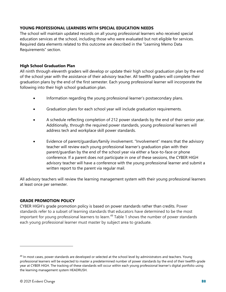# **YOUNG PROFESSIONAL LEARNERS WITH SPECIAL EDUCATION NEEDS**

The school will maintain updated records on all young professional learners who received special education services at the school, including those who were evaluated but not eligible for services. Required data elements related to this outcome are described in the "Learning Memo Data Requirements" section.

### **High School Graduation Plan**

All ninth through eleventh graders will develop or update their high school graduation plan by the end of the school year with the assistance of their advisory teacher. All twelfth graders will complete their graduation plans by the end of the first semester. Each young professional learner will incorporate the following into their high school graduation plan.

- Information regarding the young professional learner's postsecondary plans.
- Graduation plans for each school year will include graduation requirements.
- A schedule reflecting completion of 212 power standards by the end of their senior year. Additionally, through the required power standards, young professional learners will address tech and workplace skill power standards.
- Evidence of parent/guardian/family involvement. "Involvement" means that the advisory teacher will review each young professional learner's graduation plan with their parent/guardian by the end of the school year via either a face-to-face or phone conference. If a parent does not participate in one of these sessions, the CYBER HIGH advisory teacher will have a conference with the young professional learner and submit a written report to the parent via regular mail.

All advisory teachers will review the learning management system with their young professional learners at least once per semester.

# **GRADE PROMOTION POLICY**

CYBER HIGH's grade promotion policy is based on power standards rather than credits. Power standards refer to a subset of learning standards that educators have determined to be the most important for young professional learners to learn.<sup>[49](#page-52-0)</sup> Table 1 shows the number of power standards each young professional learner must master by subject area to graduate.

<span id="page-52-0"></span> $49$  In most cases, power standards are developed or selected at the school level by administrators and teachers. Young professional learners will be expected to master a predetermined number of power standards by the end of their twelfth-grade year at CYBER HIGH. The tracking of these standards will occur within each young professional learner's digital portfolio using the learning management system HEADRUSH.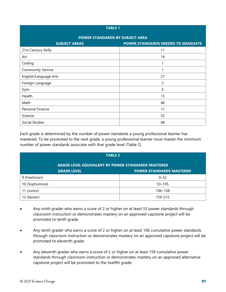| <b>TABLE 1</b>                  |                                    |  |  |
|---------------------------------|------------------------------------|--|--|
| POWER STANDARDS BY SUBJECT AREA |                                    |  |  |
| <b>SUBJECT AREAS</b>            | POWER STANDARDS NEEDED TO GRADUATE |  |  |
| 21st Century Skills             | 11                                 |  |  |
| Art                             | 14                                 |  |  |
| Coding                          | 1                                  |  |  |
| <b>Community Service</b>        |                                    |  |  |
| English/Language Arts           | 27                                 |  |  |
| Foreign Language                | 2                                  |  |  |
| Gym                             | 6                                  |  |  |
| Health                          | 13                                 |  |  |
| Math                            | 46                                 |  |  |
| Personal Finance                | 11                                 |  |  |
| Science                         | 32                                 |  |  |
| Social Studies                  | 48                                 |  |  |

Each grade is determined by the number of power standards a young professional learner has mastered. To be promoted to the next grade, a young professional learner must master the minimum number of power standards associate with that grade level (Table 2).

| <b>TABLE 2</b>                                            |            |  |  |
|-----------------------------------------------------------|------------|--|--|
| <b>GRADE LEVEL EQUIVALENT BY POWER STANDARDS MASTERED</b> |            |  |  |
| <b>POWER STANDARDS MASTERED</b><br><b>GRADE LEVEL</b>     |            |  |  |
| 9 (Freshman)                                              | $0 - 52$   |  |  |
| 10 (Sophomore)                                            | $53 - 105$ |  |  |
| 11 (Junior)                                               | 106-158    |  |  |
| 12 (Senior)                                               | 159-212    |  |  |

- Any ninth grader who earns a score of 2 or higher on at least 53 power standards through classroom instruction or demonstrates mastery on an approved capstone project will be promoted to tenth grade.
- Any tenth grader who earns a score of 2 or higher on at least 106 cumulative power standards through classroom instruction or demonstrates mastery on an approved capstone project will be promoted to eleventh grade.
- Any eleventh grader who earns a score of 2 or higher on at least 159 cumulative power standards through classroom instruction or demonstrates mastery on an approved alternative capstone project will be promoted to the twelfth grade.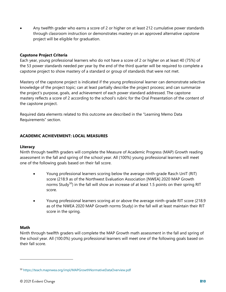• Any twelfth grader who earns a score of 2 or higher on at least 212 cumulative power standards through classroom instruction or demonstrates mastery on an approved alternative capstone project will be eligible for graduation.

### **Capstone Project Criteria**

Each year, young professional learners who do not have a score of 2 or higher on at least 40 (75%) of the 53 power standards needed per year by the end of the third quarter will be required to complete a capstone project to show mastery of a standard or group of standards that were not met.

Mastery of the capstone project is indicated if the young professional learner can demonstrate selective knowledge of the project topic; can at least partially describe the project process; and can summarize the project's purpose, goals, and achievement of each power standard addressed. The capstone mastery reflects a score of 2 according to the school's rubric for the Oral Presentation of the content of the capstone project.

Required data elements related to this outcome are described in the "Learning Memo Data Requirements" section.

### **ACADEMIC ACHIEVEMENT: LOCAL MEASURES**

#### **Literacy**

Ninth through twelfth graders will complete the Measure of Academic Progress (MAP) Growth reading assessment in the fall and spring of the school year. All (100%) young professional learners will meet one of the following goals based on their fall score.

- Young professional learners scoring below the average ninth-grade Rasch UnIT (RIT) score (218.9 as of the Northwest Evaluation Association [NWEA] 2020 MAP Growth norms Study<sup>[50](#page-54-0)</sup>) in the fall will show an increase of at least 1.5 points on their spring RIT score.
- Young professional learners scoring at or above the average ninth-grade RIT score (218.9 as of the NWEA 2020 MAP Growth norms Study) in the fall will at least maintain their RIT score in the spring.

### **Math**

Ninth through twelfth graders will complete the MAP Growth math assessment in the fall and spring of the school year. All (100.0%) young professional learners will meet one of the following goals based on their fall score.

<span id="page-54-0"></span><sup>50</sup> <https://teach.mapnwea.org/impl/MAPGrowthNormativeDataOverview.pdf>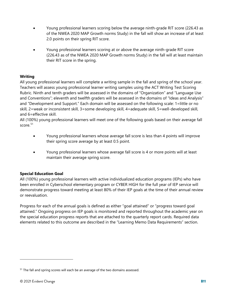- Young professional learners scoring below the average ninth-grade RIT score (226.43 as of the NWEA 2020 MAP Growth norms Study) in the fall will show an increase of at least 2.0 points on their spring RIT score.
- Young professional learners scoring at or above the average ninth-grade RIT score (226.43 as of the NWEA 2020 MAP Growth norms Study) in the fall will at least maintain their RIT score in the spring.

# **Writing**

All young professional learners will complete a writing sample in the fall and spring of the school year. Teachers will assess young professional learner writing samples using the ACT Writing Test Scoring Rubric. Ninth and tenth graders will be assessed in the domains of "Organization" and "Language Use and Conventions"; eleventh and twelfth graders will be assessed in the domains of "Ideas and Analysis" and "Development and Support." Each domain will be assessed on the following scale: 1=little or no skill, 2=weak or inconsistent skill, 3=some developing skill, 4=adequate skill, 5=well-developed skill, and 6=effective skill.

All (100%) young professional learners will meet one of the following goals based on their average fall score.<sup>[51](#page-55-0)</sup>

- Young professional learners whose average fall score is less than 4 points will improve their spring score average by at least 0.5 point.
- Young professional learners whose average fall score is 4 or more points will at least maintain their average spring score.

# **Special Education Goal**

All (100%) young professional learners with active individualized education programs (IEPs) who have been enrolled in Cyberschool elementary program or CYBER HIGH for the full year of IEP service will demonstrate progress toward meeting at least 80% of their IEP goals at the time of their annual review or reevaluation.

Progress for each of the annual goals is defined as either "goal attained" or "progress toward goal attained." Ongoing progress on IEP goals is monitored and reported throughout the academic year on the special education progress reports that are attached to the quarterly report cards. Required data elements related to this outcome are described in the "Learning Memo Data Requirements" section.

<span id="page-55-0"></span><sup>&</sup>lt;sup>51</sup> The fall and spring scores will each be an average of the two domains assessed.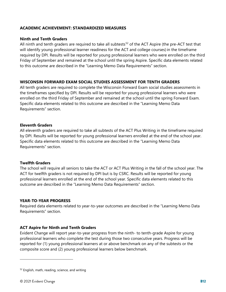### **ACADEMIC ACHIEVEMENT: STANDARDIZED MEASURES**

#### **Ninth and Tenth Graders**

All ninth and tenth graders are required to take all subtests<sup>[52](#page-56-0)</sup> of the ACT Aspire (the pre-ACT test that will identify young professional learner readiness for the ACT and college courses) in the timeframe required by DPI. Results will be reported for young professional learners who were enrolled on the third Friday of September and remained at the school until the spring Aspire. Specific data elements related to this outcome are described in the "Learning Memo Data Requirements" section.

#### **WISCONSIN FORWARD EXAM SOCIAL STUDIES ASSESSMENT FOR TENTH GRADERS**

All tenth graders are required to complete the Wisconsin Forward Exam social studies assessments in the timeframes specified by DPI. Results will be reported for young professional learners who were enrolled on the third Friday of September and remained at the school until the spring Forward Exam. Specific data elements related to this outcome are described in the "Learning Memo Data Requirements" section.

#### **Eleventh Graders**

All eleventh graders are required to take all subtests of the ACT Plus Writing in the timeframe required by DPI. Results will be reported for young professional learners enrolled at the end of the school year. Specific data elements related to this outcome are described in the "Learning Memo Data Requirements" section.

#### **Twelfth Graders**

The school will require all seniors to take the ACT or ACT Plus Writing in the fall of the school year. The ACT for twelfth graders is not required by DPI but is by CSRC. Results will be reported for young professional learners enrolled at the end of the school year. Specific data elements related to this outcome are described in the "Learning Memo Data Requirements" section.

#### **YEAR-TO-YEAR PROGRESS**

Required data elements related to year-to-year outcomes are described in the "Learning Memo Data Requirements" section.

### **ACT Aspire for Ninth and Tenth Graders**

Evident Change will report year-to-year progress from the ninth- to tenth-grade Aspire for young professional learners who complete the test during those two consecutive years. Progress will be reported for (1) young professional learners at or above benchmark on any of the subtests or the composite score and (2) young professional learners below benchmark.

<span id="page-56-0"></span><sup>52</sup> English, math, reading, science, and writing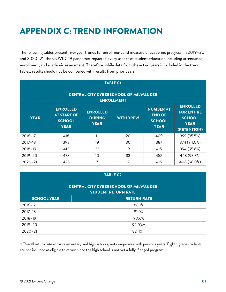# APPENDIX C: TREND INFORMATION

The following tables present five-year trends for enrollment and measure of academic progress. In 2019–20 and 2020–21, the COVID-19 pandemic impacted every aspect of student education including attendance, enrollment, and academic assessment. Therefore, while data from these two years is included in the trend tables, results should not be compared with results from prior years.

| <b>TABLE C1</b><br><b>CENTRAL CITY CYBERSCHOOL OF MILWAUKEE</b><br><b>ENROLLMENT</b> |                                                                       |                                                 |                 |                                                                   |                                                                                     |
|--------------------------------------------------------------------------------------|-----------------------------------------------------------------------|-------------------------------------------------|-----------------|-------------------------------------------------------------------|-------------------------------------------------------------------------------------|
| <b>YEAR</b>                                                                          | <b>ENROLLED</b><br><b>AT START OF</b><br><b>SCHOOL</b><br><b>YEAR</b> | <b>ENROLLED</b><br><b>DURING</b><br><b>YEAR</b> | <b>WITHDREW</b> | <b>NUMBER AT</b><br><b>END OF</b><br><b>SCHOOL</b><br><b>YEAR</b> | <b>ENROLLED</b><br><b>FOR ENTIRE</b><br><b>SCHOOL</b><br><b>YEAR</b><br>(RETENTION) |
| $2016 - 17$                                                                          | 418                                                                   | 11                                              | 20              | 409                                                               | 399 (95.5%)                                                                         |
| $2017 - 18$                                                                          | 398                                                                   | 19                                              | 30              | 387                                                               | 374 (94.0%)                                                                         |
| $2018 - 19$                                                                          | 412                                                                   | 22                                              | 19              | 415                                                               | 394 (95.6%)                                                                         |
| $2019 - 20$                                                                          | 478                                                                   | 10                                              | 33              | 455                                                               | 448 (93.7%)                                                                         |
| $2020 - 21$                                                                          | 425                                                                   | 7                                               | 17              | 415                                                               | 408 (96.0%)                                                                         |

| <b>TABLE C2</b>                                                            |                    |  |
|----------------------------------------------------------------------------|--------------------|--|
| <b>CENTRAL CITY CYBERSCHOOL OF MILWAUKEE</b><br><b>STUDENT RETURN RATE</b> |                    |  |
| <b>SCHOOL YEAR</b>                                                         | <b>RETURN RATE</b> |  |
| $2016 - 17$                                                                | 88.1%              |  |
| $2017 - 18$                                                                | 91.0%              |  |
| $2018 - 19$                                                                | 90.6%              |  |
| 2019-20                                                                    | $92.0%$ +          |  |
| $2020 - 21$                                                                | 82.4%+             |  |

†Overall return rate across elementary and high schools; not comparable with previous years. Eighth grade students are not included as eligible to return since the high school is not yet a fully-fledged program.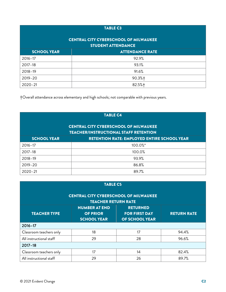# TABLE C3

### CENTRAL CITY CYBERSCHOOL OF MILWAUKEE STUDENT ATTENDANCE

| <b>SIVPLINI ALLENDANCE</b> |                        |  |
|----------------------------|------------------------|--|
| <b>SCHOOL YEAR</b>         | <b>ATTENDANCE RATE</b> |  |
| $2016 - 17$                | 92.9%                  |  |
| 2017-18                    | 93.1%                  |  |
| $2018 - 19$                | 91.6%                  |  |
| 2019-20                    | $90.3%$ +              |  |
| $2020 - 21$                | $82.5%$ +              |  |

†Overall attendance across elementary and high schools; not comparable with previous years.

| <b>TABLE C4</b>                                                                              |                                                    |  |  |  |
|----------------------------------------------------------------------------------------------|----------------------------------------------------|--|--|--|
| <b>CENTRAL CITY CYBERSCHOOL OF MILWAUKEE</b><br><b>TEACHER/INSTRUCTIONAL STAFF RETENTION</b> |                                                    |  |  |  |
| <b>SCHOOL YEAR</b>                                                                           | <b>RETENTION RATE: EMPLOYED ENTIRE SCHOOL YEAR</b> |  |  |  |
| $2016 - 17$                                                                                  | $100.0\%$ <sup>*</sup>                             |  |  |  |
| $2017 - 18$                                                                                  | 100.0%                                             |  |  |  |
| $2018 - 19$                                                                                  | 93.9%                                              |  |  |  |
| $2019 - 20$                                                                                  | 86.8%                                              |  |  |  |
| $2020 - 21$                                                                                  | 89.7%                                              |  |  |  |

| <b>TABLE C5</b>                                                                                                                                                         |    |    |       |  |  |  |  |
|-------------------------------------------------------------------------------------------------------------------------------------------------------------------------|----|----|-------|--|--|--|--|
| <b>CENTRAL CITY CYBERSCHOOL OF MILWAUKEE</b><br><b>TEACHER RETURN RATE</b>                                                                                              |    |    |       |  |  |  |  |
| <b>NUMBER AT END</b><br><b>RETURNED</b><br><b>TEACHER TYPE</b><br><b>OF PRIOR</b><br><b>FOR FIRST DAY</b><br><b>RETURN RATE</b><br><b>SCHOOL YEAR</b><br>OF SCHOOL YEAR |    |    |       |  |  |  |  |
| $2016 - 17$                                                                                                                                                             |    |    |       |  |  |  |  |
| Classroom teachers only                                                                                                                                                 | 18 | 17 | 94.4% |  |  |  |  |
| All instructional staff                                                                                                                                                 | 29 | 28 | 96.6% |  |  |  |  |
| $2017 - 18$                                                                                                                                                             |    |    |       |  |  |  |  |
| Classroom teachers only                                                                                                                                                 | 17 | 14 | 82.4% |  |  |  |  |
| All instructional staff                                                                                                                                                 | 29 | 26 | 89.7% |  |  |  |  |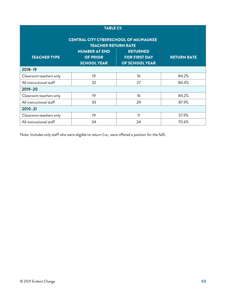| <b>TABLE C5</b><br><b>CENTRAL CITY CYBERSCHOOL OF MILWAUKEE</b> |                                                               |                                                           |                    |  |  |  |  |
|-----------------------------------------------------------------|---------------------------------------------------------------|-----------------------------------------------------------|--------------------|--|--|--|--|
| <b>TEACHER RETURN RATE</b>                                      |                                                               |                                                           |                    |  |  |  |  |
| <b>TEACHER TYPE</b>                                             | <b>NUMBER AT END</b><br><b>OF PRIOR</b><br><b>SCHOOL YEAR</b> | <b>RETURNED</b><br><b>FOR FIRST DAY</b><br>OF SCHOOL YEAR | <b>RETURN RATE</b> |  |  |  |  |
| $2018 - 19$                                                     |                                                               |                                                           |                    |  |  |  |  |
| Classroom teachers only                                         | 19                                                            | 16                                                        | 84.2%              |  |  |  |  |
| All instructional staff                                         | 32                                                            | 27                                                        | 84.4%              |  |  |  |  |
| $2019 - 20$                                                     |                                                               |                                                           |                    |  |  |  |  |
| Classroom teachers only                                         | 19                                                            | 16                                                        | 84.2%              |  |  |  |  |
| All instructional staff                                         | 33                                                            | 29                                                        | 87.9%              |  |  |  |  |
| $2010 - 21$                                                     |                                                               |                                                           |                    |  |  |  |  |
| Classroom teachers only                                         | 19                                                            | 11                                                        | 57.9%              |  |  |  |  |
| All instructional staff                                         | 34                                                            | 24                                                        | 70.6%              |  |  |  |  |

Note: Includes only staff who were eligible to return (i.e., were offered a position for the fall).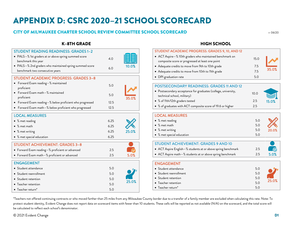# APPENDIX D: CSRC 2020–21 SCHOOL SCORECARD

# CITY OF MILWAUKEE CHARTER SCHOOL REVIEW COMMITTEE SCHOOL SCORECARD r: 06/20

# K–8TH GRADE

| <b>STUDENT READING READINESS: GRADES 1-2</b>             |      |       |
|----------------------------------------------------------|------|-------|
| • PALS-% 1st graders at or above spring summed score     |      |       |
| benchmark this year                                      | 4.0  |       |
| • PALS-% 2nd graders who maintained spring summed score  | 6.0  | 10.0% |
| benchmark two consecutive years                          |      |       |
| <b>STUDENT ACADEMIC PROGRESS: GRADES 3-8</b>             |      |       |
| Forward Exam reading-% maintained                        |      |       |
| proficient                                               | 5.0  |       |
| • Forward Exam math-% maintained                         |      |       |
| proficient                                               | 5.0  | 35.0% |
| • Forward Exam reading-% below proficient who progressed | 12.5 |       |
| • Forward Exam math-% below proficient who progressed    | 12.5 |       |
| <b>LOCAL MEASURES</b>                                    |      |       |
| • % met reading                                          | 6.25 |       |
| • % met math                                             | 6.25 |       |
| • % met writing                                          | 6.25 | 25.0% |
|                                                          | 6.25 |       |
| • % met special education                                |      |       |
| <b>STUDENT ACHIEVEMENT: GRADES 3-8</b>                   |      |       |
| • Forward Exam reading-% proficient or advanced          | 2.5  |       |
| • Forward Exam math-% proficient or advanced             | 2.5  | 5.0%  |
| <b>ENGAGEMENT</b>                                        |      |       |
|                                                          |      |       |
| • Student attendance                                     | 5.0  |       |
| • Student reenrollment                                   | 5.0  |       |
| • Student retention                                      | 5.0  | 25.0% |
| • Teacher retention                                      | 5.0  |       |
| • Teacher return*                                        | 5.0  |       |

# HIGH SCHOOL

| STUDENT ACADEMIC PROGRESS: GRADES 9, 10, AND 12                                                             |      |       |
|-------------------------------------------------------------------------------------------------------------|------|-------|
| • ACT Aspire-% 10th graders who maintained benchmark on<br>composite score or progressed at least one point | 15.0 |       |
| • Adequate credits to move from 9th to 10th grade                                                           | 7.5  |       |
| • Adequate credits to move from 10th to 11th grade                                                          | 7.5  | 35.0% |
| • DPI graduation rate                                                                                       | 5.0  |       |
|                                                                                                             |      |       |
|                                                                                                             |      |       |

| <b>POSTSECONDARY READINESS: GRADES 11 AND 12</b>               |      |       |
|----------------------------------------------------------------|------|-------|
| • Postsecondary acceptance for graduates (college, university, | 10.0 |       |
| technical school, military)                                    |      |       |
| • % of 11th/12th graders tested                                | 2.5  | 15.0% |
| • % of graduates with ACT composite score of 19.6 or higher    | 2.5  |       |

| • % met reading<br>5.0<br>$\bullet$ % met math<br>5.0 |  |
|-------------------------------------------------------|--|
|                                                       |  |
|                                                       |  |
| • % met writing<br>5.0<br>20.0%                       |  |
| • % met special education<br>5.0                      |  |

| STUDENT ACHIEVEMENT: GRADES 9 AND 10                           |     |            |
|----------------------------------------------------------------|-----|------------|
| │ ● ACT Aspire English–% students at or above spring benchmark | 2.5 | $\sim$     |
| │ ● ACT Aspire math–% students at or above spring benchmark    | 2.5 | <b>50%</b> |

# ENGAGEMENT

| • Student attendance      | 5.0 |       |
|---------------------------|-----|-------|
| • Student reenrollment    | 5.0 |       |
| • Student retention       | 5.0 |       |
| • Teacher retention       | 5.0 | 25.0% |
| $\bullet$ Teacher return* | 5.0 |       |

\*Teachers not offered continuing contracts or who moved farther than 25 miles from any Milwaukee County border due to a transfer of a family member are excluded when calculating this rate. Note: To protect student identity, Evident Change does not report data on scorecard items with fewer than 10 students. These cells will be reported as not available (N/A) on the scorecard, and the total score will be calculated to reflect each school's denominator.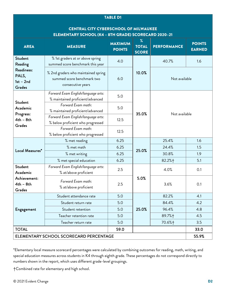#### TABLE D1

# CENTRAL CITY CYBERSCHOOL OF MILWAUKEE ELEMENTARY SCHOOL (K4 – 8TH GRADE) SCORECARD 2020–21

| <b>AREA</b>                                                               | <b>MEASURE</b>                                                                         | <b>MAXIMUM</b><br><b>POINTS</b> | $\%$<br><b>TOTAL</b><br><b>SCORE</b> | <b>PERFORMANCE</b> | <b>POINTS</b><br><b>EARNED</b> |
|---------------------------------------------------------------------------|----------------------------------------------------------------------------------------|---------------------------------|--------------------------------------|--------------------|--------------------------------|
| Student<br>Reading<br>Readiness:<br>PALS,<br>$1st - 2nd$<br><b>Grades</b> | % 1st graders at or above spring<br>summed score benchmark this year                   | 4.0                             |                                      | 40.7%              | 1.6                            |
|                                                                           | % 2nd graders who maintained spring<br>summed score benchmark two<br>consecutive years | 6.0                             | 10.0%                                | Not available      |                                |
| Student                                                                   | Forward Exam English/language arts:<br>% maintained proficient/advanced                | 5.0                             |                                      |                    |                                |
| Academic<br>Progress:<br>$4th - 8th$<br><b>Grades</b>                     | Forward Exam math:<br>% maintained proficient/advanced                                 | 5.0                             | 35.0%                                | Not available      |                                |
|                                                                           | Forward Exam English/language arts:<br>% below proficient who progressed               | 12.5                            |                                      |                    |                                |
|                                                                           | Forward Exam math:<br>% below proficient who progressed                                | 12.5                            |                                      |                    |                                |
| Local Measures*                                                           | % met reading                                                                          | 6.25                            | 25.0%                                | 25.4%              | 1.6                            |
|                                                                           | % met math                                                                             | 6.25                            |                                      | 24.4%              | 1.5                            |
|                                                                           | % met writing                                                                          | 6.25                            |                                      | 30.8%              | 1.9                            |
|                                                                           | % met special education                                                                | 6.25                            |                                      | 82.2%+             | 5.1                            |
| Student<br>Academic                                                       | Forward Exam English/language arts:<br>% at/above proficient                           | 2.5                             |                                      | 4.0%               | 0.1                            |
| Achievement:<br>$4th - 8th$<br>Grades                                     | Forward Exam math:<br>% at/above proficient                                            | 2.5                             | 5.0%                                 | 3.6%               | 0.1                            |
|                                                                           | Student attendance rate                                                                | 5.0                             |                                      | 82.2%              | 4.1                            |
|                                                                           | Student return rate                                                                    | 5.0                             |                                      | 84.4%              | 4.2                            |
| Engagement                                                                | Student retention                                                                      | 5.0                             | 25.0%                                | 96.4%              | 4.8                            |
|                                                                           | Teacher retention rate                                                                 | 5.0                             |                                      | 89.7%+             | 4.5                            |
|                                                                           | Teacher return rate                                                                    | 5.0                             |                                      | 70.6%+             | 3.5                            |
| <b>TOTAL</b>                                                              |                                                                                        | 59.0                            |                                      |                    | 33.0                           |
| ELEMENTARY SCHOOL SCORECARD PERCENTAGE                                    |                                                                                        |                                 |                                      | 55.9%              |                                |

\*Elementary local measure scorecard percentages were calculated by combining outcomes for reading, math, writing, and special education measures across students in K4 through eighth grade. These percentages do not correspond directly to numbers shown in the report, which uses different grade-level groupings.

†Combined rate for elementary and high school.